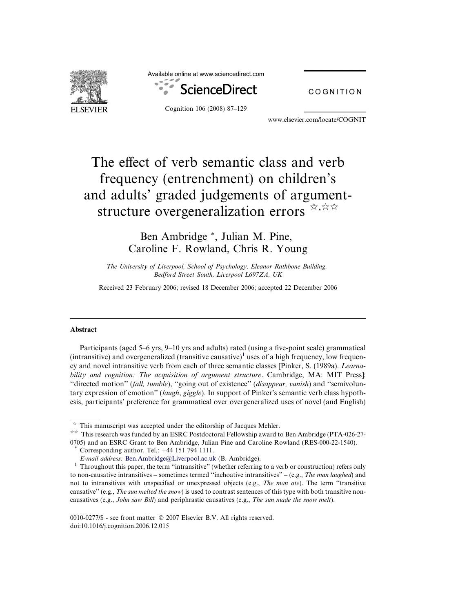<span id="page-0-0"></span>

Available online at www.sciencedirect.com



COGNITION

Cognition 106 (2008) 87–129

www.elsevier.com/locate/COGNIT

# The effect of verb semantic class and verb frequency (entrenchment) on children's and adults' graded judgements of argumentstructure overgeneralization errors  $\mathbb{R}^{\mathbb{R},\star\star\star}$

Ben Ambridge \*, Julian M. Pine, Caroline F. Rowland, Chris R. Young

The University of Liverpool, School of Psychology, Eleanor Rathbone Building, Bedford Street South, Liverpool L697ZA, UK

Received 23 February 2006; revised 18 December 2006; accepted 22 December 2006

#### **Abstract**

Participants (aged 5–6 yrs, 9–10 yrs and adults) rated (using a five-point scale) grammatical  $(intransitive)$  and overgeneralized  $(transitive causative)^{1}$  uses of a high frequency, low frequency and novel intransitive verb from each of three semantic classes [Pinker, S. (1989a). Learnability and cognition: The acquisition of argument structure. Cambridge, MA: MIT Press]: "directed motion" (fall, tumble), "going out of existence" (disappear, vanish) and "semivoluntary expression of emotion" (laugh, giggle). In support of Pinker's semantic verb class hypothesis, participants' preference for grammatical over overgeneralized uses of novel (and English)

 $\phi$  This manuscript was accepted under the editorship of Jacques Mehler.<br>  $\phi$  This research was funded by an ESRC Postdoctoral Fellowship award to Ben Ambridge (PTA-026-27-0705) and an ESRC Grant to Ben Ambridge, Julian Pine and Caroline Rowland (RES-000-22-1540).

Corresponding author. Tel.: +44 151 794 1111.

*E-mail address:* [Ben.Ambridge@Liverpool.ac.uk](mailto:Ben.Ambridge@Liverpool.ac.uk) (B. Ambridge).<br><sup>1</sup> Throughout this paper, the term "intransitive" (whether referring to a verb or construction) refers only to non-causative intransitives – sometimes termed "inchoative intransitives" – (e.g., The man laughed) and not to intransitives with unspecified or unexpressed objects (e.g., The man ate). The term "transitive causative" (e.g., The sun melted the snow) is used to contrast sentences of this type with both transitive noncausatives (e.g., John saw Bill) and periphrastic causatives (e.g., The sun made the snow melt).

<sup>0010-0277/\$ -</sup> see front matter © 2007 Elsevier B.V. All rights reserved. doi:10.1016/j.cognition.2006.12.015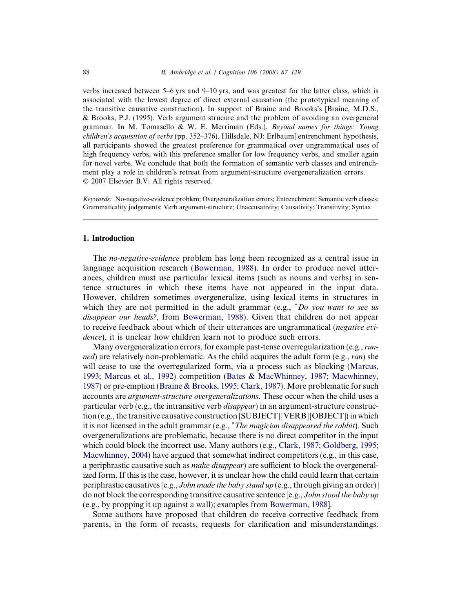<span id="page-1-0"></span>verbs increased between 5–6 yrs and 9–10 yrs, and was greatest for the latter class, which is associated with the lowest degree of direct external causation (the prototypical meaning of the transitive causative construction). In support of Braine and Brooks's [Braine, M.D.S., & Brooks, P.J. (1995). Verb argument strucure and the problem of avoiding an overgeneral grammar. In M. Tomasello & W. E. Merriman (Eds.), Beyond names for things: Young children's acquisition of verbs (pp. 352-376). Hillsdale, NJ: Erlbaum] entrenchment hypothesis, all participants showed the greatest preference for grammatical over ungrammatical uses of high frequency verbs, with this preference smaller for low frequency verbs, and smaller again for novel verbs. We conclude that both the formation of semantic verb classes and entrenchment play a role in children's retreat from argument-structure overgeneralization errors.  $© 2007 Elsevier B.V. All rights reserved.$ 

Keywords: No-negative-evidence problem; Overgeneralization errors; Entrenchment; Semantic verb classes; Grammaticality judgements; Verb argument-structure; Unaccusativity; Causativity; Transitivity; Syntax

#### 1. Introduction

The no-negative-evidence problem has long been recognized as a central issue in language acquisition research [\(Bowerman, 1988\)](#page-40-0). In order to produce novel utterances, children must use particular lexical items (such as nouns and verbs) in sentence structures in which these items have not appeared in the input data. However, children sometimes overgeneralize, using lexical items in structures in which they are not permitted in the adult grammar (e.g.,  $^*Do$  you want to see us disappear our heads?, from [Bowerman, 1988](#page-40-0)). Given that children do not appear to receive feedback about which of their utterances are ungrammatical (negative evidence), it is unclear how children learn not to produce such errors.

Many overgeneralization errors, for example past-tense overregularization (e.g., *runned*) are relatively non-problematic. As the child acquires the adult form (e.g., ran) she will cease to use the overregularized form, via a process such as blocking ([Marcus,](#page-41-0) [1993; Marcus et al., 1992](#page-41-0)) competition ([Bates & MacWhinney, 1987; Macwhinney,](#page-40-0) [1987](#page-40-0)) or pre-emption [\(Braine & Brooks, 1995; Clark, 1987](#page-40-0)). More problematic for such accounts are argument-structure overgeneralizations. These occur when the child uses a particular verb (e.g., the intransitive verb *disappear*) in an argument-structure construction (e.g., the transitive causative construction [SUBJECT] [VERB] [OBJECT]) in which it is not licensed in the adult grammar (e.g., *\*The magician disappeared the rabbit*). Such overgeneralizations are problematic, because there is no direct competitor in the input which could block the incorrect use. Many authors (e.g., [Clark, 1987; Goldberg, 1995;](#page-40-0) [Macwhinney, 2004](#page-40-0)) have argued that somewhat indirect competitors (e.g., in this case, a periphrastic causative such as make disappear) are sufficient to block the overgeneralized form. If this is the case, however, it is unclear how the child could learn that certain periphrastic causatives [e.g., *John made the baby stand up* (e.g., through giving an order)] do not block the corresponding transitive causative sentence [e.g., John stood the baby up (e.g., by propping it up against a wall); examples from [Bowerman, 1988](#page-40-0)].

Some authors have proposed that children do receive corrective feedback from parents, in the form of recasts, requests for clarification and misunderstandings.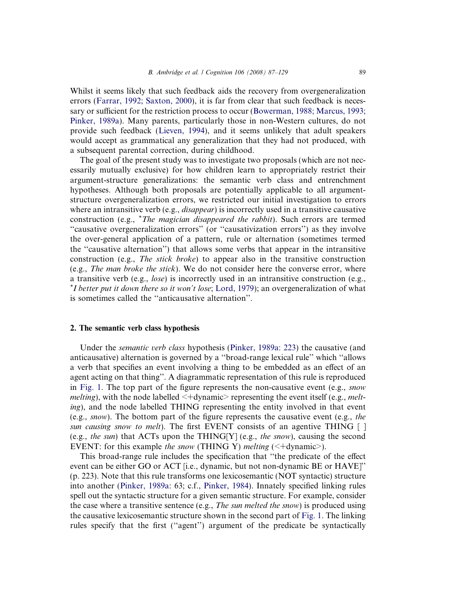Whilst it seems likely that such feedback aids the recovery from overgeneralization errors ([Farrar, 1992; Saxton, 2000\)](#page-40-0), it is far from clear that such feedback is necessary or sufficient for the restriction process to occur [\(Bowerman, 1988; Marcus, 1993;](#page-40-0) [Pinker, 1989a\)](#page-40-0). Many parents, particularly those in non-Western cultures, do not provide such feedback [\(Lieven, 1994](#page-41-0)), and it seems unlikely that adult speakers would accept as grammatical any generalization that they had not produced, with a subsequent parental correction, during childhood.

The goal of the present study was to investigate two proposals (which are not necessarily mutually exclusive) for how children learn to appropriately restrict their argument-structure generalizations: the semantic verb class and entrenchment hypotheses. Although both proposals are potentially applicable to all argumentstructure overgeneralization errors, we restricted our initial investigation to errors where an intransitive verb (e.g., *disappear*) is incorrectly used in a transitive causative construction (e.g.,  $*$ The magician disappeared the rabbit). Such errors are termed ''causative overgeneralization errors'' (or ''causativization errors'') as they involve the over-general application of a pattern, rule or alternation (sometimes termed the ''causative alternation'') that allows some verbs that appear in the intransitive construction (e.g., The stick broke) to appear also in the transitive construction (e.g., The man broke the stick). We do not consider here the converse error, where a transitive verb (e.g.,  $lose$ ) is incorrectly used in an intransitive construction (e.g., \*I better put it down there so it won't lose; [Lord, 1979](#page-41-0)); an overgeneralization of what is sometimes called the ''anticausative alternation''.

#### 2. The semantic verb class hypothesis

Under the semantic verb class hypothesis [\(Pinker, 1989a: 223\)](#page-41-0) the causative (and anticausative) alternation is governed by a ''broad-range lexical rule'' which ''allows a verb that specifies an event involving a thing to be embedded as an effect of an agent acting on that thing''. A diagrammatic representation of this rule is reproduced in [Fig. 1.](#page-3-0) The top part of the figure represents the non-causative event (e.g., snow *melting*), with the node labelled  $\leq$ +dynamic> representing the event itself (e.g., *melt*ing), and the node labelled THING representing the entity involved in that event (e.g., snow). The bottom part of the figure represents the causative event (e.g., the sun causing snow to melt). The first EVENT consists of an agentive THING  $\lceil \rceil$ (e.g., the sun) that ACTs upon the THING[Y] (e.g., the snow), causing the second EVENT: for this example the snow (THING Y) melting  $(\leq +dyn)$ .

This broad-range rule includes the specification that ''the predicate of the effect event can be either GO or ACT [i.e., dynamic, but not non-dynamic BE or HAVE]'' (p. 223). Note that this rule transforms one lexicosemantic (NOT syntactic) structure into another ([Pinker, 1989a](#page-41-0): 63; c.f., [Pinker, 1984\)](#page-41-0). Innately specified linking rules spell out the syntactic structure for a given semantic structure. For example, consider the case where a transitive sentence (e.g., The sun melted the snow) is produced using the causative lexicosemantic structure shown in the second part of [Fig. 1](#page-3-0). The linking rules specify that the first (''agent'') argument of the predicate be syntactically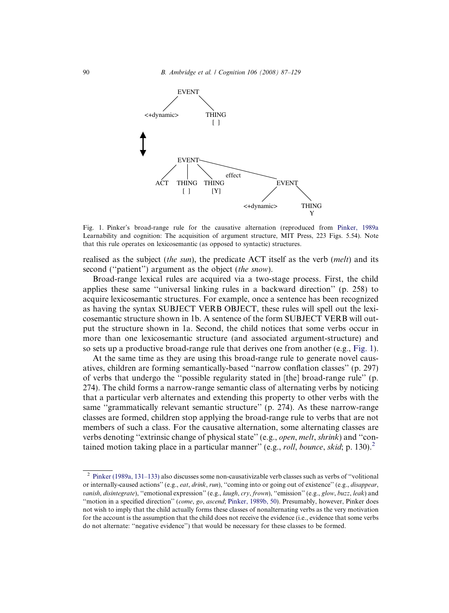<span id="page-3-0"></span>

Fig. 1. Pinker's broad-range rule for the causative alternation (reproduced from [Pinker, 1989a](#page-41-0) Learnability and cognition: The acquisition of argument structure, MIT Press, 223 Figs. 5.54). Note that this rule operates on lexicosemantic (as opposed to syntactic) structures.

realised as the subject (the sun), the predicate ACT itself as the verb (melt) and its second ("patient") argument as the object *(the snow)*.

Broad-range lexical rules are acquired via a two-stage process. First, the child applies these same ''universal linking rules in a backward direction'' (p. 258) to acquire lexicosemantic structures. For example, once a sentence has been recognized as having the syntax SUBJECT VERB OBJECT, these rules will spell out the lexicosemantic structure shown in 1b. A sentence of the form SUBJECT VERB will output the structure shown in 1a. Second, the child notices that some verbs occur in more than one lexicosemantic structure (and associated argument-structure) and so sets up a productive broad-range rule that derives one from another (e.g., Fig. 1).

At the same time as they are using this broad-range rule to generate novel causatives, children are forming semantically-based ''narrow conflation classes'' (p. 297) of verbs that undergo the ''possible regularity stated in [the] broad-range rule'' (p. 274). The child forms a narrow-range semantic class of alternating verbs by noticing that a particular verb alternates and extending this property to other verbs with the same ''grammatically relevant semantic structure'' (p. 274). As these narrow-range classes are formed, children stop applying the broad-range rule to verbs that are not members of such a class. For the causative alternation, some alternating classes are verbs denoting "extrinsic change of physical state" (e.g., open, melt, shrink) and "contained motion taking place in a particular manner" (e.g., *roll, bounce, skid*; p. 130).<sup>2</sup>

<sup>2</sup> [Pinker \(1989a, 131–133\)](#page-41-0) also discusses some non-causativizable verb classes such as verbs of ''volitional or internally-caused actions'' (e.g., eat, drink, run), ''coming into or going out of existence'' (e.g., disappear, vanish, disintegrate), "emotional expression" (e.g., laugh, cry, frown), "emission" (e.g., glow, buzz, leak) and "motion in a specified direction" (come, go, ascend; [Pinker, 1989b, 50\)](#page-41-0). Presumably, however, Pinker does not wish to imply that the child actually forms these classes of nonalternating verbs as the very motivation for the account is the assumption that the child does not receive the evidence (i.e., evidence that some verbs do not alternate: ''negative evidence'') that would be necessary for these classes to be formed.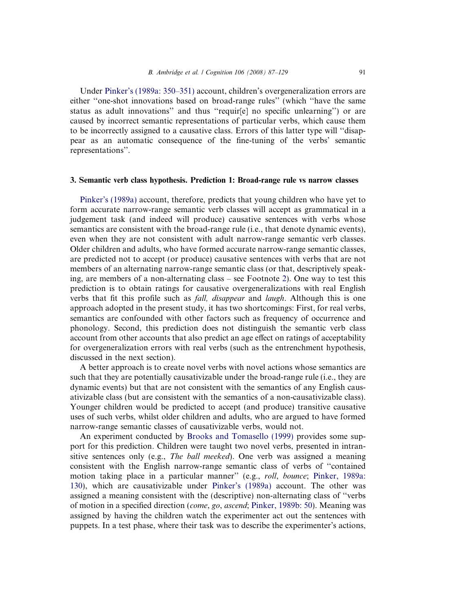Under [Pinker's \(1989a: 350–351\)](#page-41-0) account, children's overgeneralization errors are either ''one-shot innovations based on broad-range rules'' (which ''have the same status as adult innovations'' and thus ''requir[e] no specific unlearning'') or are caused by incorrect semantic representations of particular verbs, which cause them to be incorrectly assigned to a causative class. Errors of this latter type will ''disappear as an automatic consequence of the fine-tuning of the verbs' semantic representations''.

### 3. Semantic verb class hypothesis. Prediction 1: Broad-range rule vs narrow classes

[Pinker's \(1989a\)](#page-41-0) account, therefore, predicts that young children who have yet to form accurate narrow-range semantic verb classes will accept as grammatical in a judgement task (and indeed will produce) causative sentences with verbs whose semantics are consistent with the broad-range rule (i.e., that denote dynamic events), even when they are not consistent with adult narrow-range semantic verb classes. Older children and adults, who have formed accurate narrow-range semantic classes, are predicted not to accept (or produce) causative sentences with verbs that are not members of an alternating narrow-range semantic class (or that, descriptively speaking, are members of a non-alternating class – see Footnote [2](#page-0-0)). One way to test this prediction is to obtain ratings for causative overgeneralizations with real English verbs that fit this profile such as *fall, disappear* and *laugh*. Although this is one approach adopted in the present study, it has two shortcomings: First, for real verbs, semantics are confounded with other factors such as frequency of occurrence and phonology. Second, this prediction does not distinguish the semantic verb class account from other accounts that also predict an age effect on ratings of acceptability for overgeneralization errors with real verbs (such as the entrenchment hypothesis, discussed in the next section).

A better approach is to create novel verbs with novel actions whose semantics are such that they are potentially causativizable under the broad-range rule (i.e., they are dynamic events) but that are not consistent with the semantics of any English causativizable class (but are consistent with the semantics of a non-causativizable class). Younger children would be predicted to accept (and produce) transitive causative uses of such verbs, whilst older children and adults, who are argued to have formed narrow-range semantic classes of causativizable verbs, would not.

An experiment conducted by [Brooks and Tomasello \(1999\)](#page-40-0) provides some support for this prediction. Children were taught two novel verbs, presented in intransitive sentences only (e.g., *The ball meeked*). One verb was assigned a meaning consistent with the English narrow-range semantic class of verbs of ''contained motion taking place in a particular manner" (e.g., *roll, bounce*; [Pinker, 1989a:](#page-41-0) [130](#page-41-0)), which are causativizable under [Pinker's \(1989a\)](#page-41-0) account. The other was assigned a meaning consistent with the (descriptive) non-alternating class of ''verbs of motion in a specified direction (come, go, ascend; [Pinker, 1989b: 50\)](#page-41-0). Meaning was assigned by having the children watch the experimenter act out the sentences with puppets. In a test phase, where their task was to describe the experimenter's actions,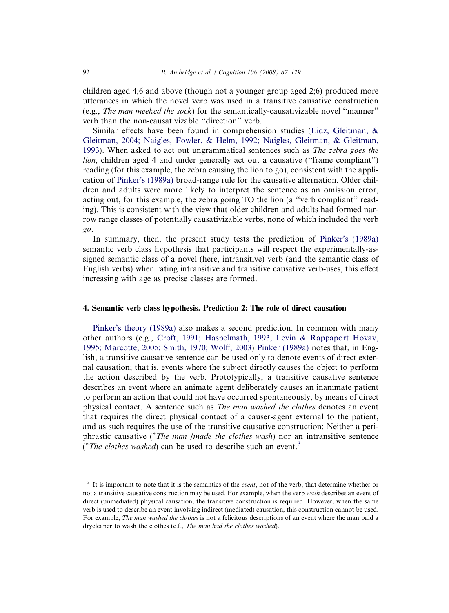children aged 4;6 and above (though not a younger group aged 2;6) produced more utterances in which the novel verb was used in a transitive causative construction (e.g., The man meeked the sock) for the semantically-causativizable novel ''manner'' verb than the non-causativizable ''direction'' verb.

Similar effects have been found in comprehension studies [\(Lidz, Gleitman, &](#page-41-0) [Gleitman, 2004; Naigles, Fowler, & Helm, 1992; Naigles, Gleitman, & Gleitman,](#page-41-0) [1993\)](#page-41-0). When asked to act out ungrammatical sentences such as *The zebra goes the lion*, children aged 4 and under generally act out a causative ("frame compliant") reading (for this example, the zebra causing the lion to go), consistent with the application of [Pinker's \(1989a\)](#page-41-0) broad-range rule for the causative alternation. Older children and adults were more likely to interpret the sentence as an omission error, acting out, for this example, the zebra going TO the lion (a ''verb compliant'' reading). This is consistent with the view that older children and adults had formed narrow range classes of potentially causativizable verbs, none of which included the verb go.

In summary, then, the present study tests the prediction of [Pinker's \(1989a\)](#page-41-0) semantic verb class hypothesis that participants will respect the experimentally-assigned semantic class of a novel (here, intransitive) verb (and the semantic class of English verbs) when rating intransitive and transitive causative verb-uses, this effect increasing with age as precise classes are formed.

## 4. Semantic verb class hypothesis. Prediction 2: The role of direct causation

[Pinker's theory \(1989a\)](#page-41-0) also makes a second prediction. In common with many other authors (e.g., [Croft, 1991; Haspelmath, 1993; Levin & Rappaport Hovav,](#page-40-0) [1995; Marcotte, 2005; Smith, 1970; Wolff, 2003](#page-40-0)) [Pinker \(1989a\)](#page-41-0) notes that, in English, a transitive causative sentence can be used only to denote events of direct external causation; that is, events where the subject directly causes the object to perform the action described by the verb. Prototypically, a transitive causative sentence describes an event where an animate agent deliberately causes an inanimate patient to perform an action that could not have occurred spontaneously, by means of direct physical contact. A sentence such as The man washed the clothes denotes an event that requires the direct physical contact of a causer-agent external to the patient, and as such requires the use of the transitive causative construction: Neither a periphrastic causative  $(*The$  man /made the clothes wash) nor an intransitive sentence ( $*The clothes washed$ ) can be used to describe such an event.<sup>3</sup>

 $3$  It is important to note that it is the semantics of the *event*, not of the verb, that determine whether or not a transitive causative construction may be used. For example, when the verb wash describes an event of direct (unmediated) physical causation, the transitive construction is required. However, when the same verb is used to describe an event involving indirect (mediated) causation, this construction cannot be used. For example, The man washed the clothes is not a felicitous descriptions of an event where the man paid a drycleaner to wash the clothes (c.f., The man had the clothes washed).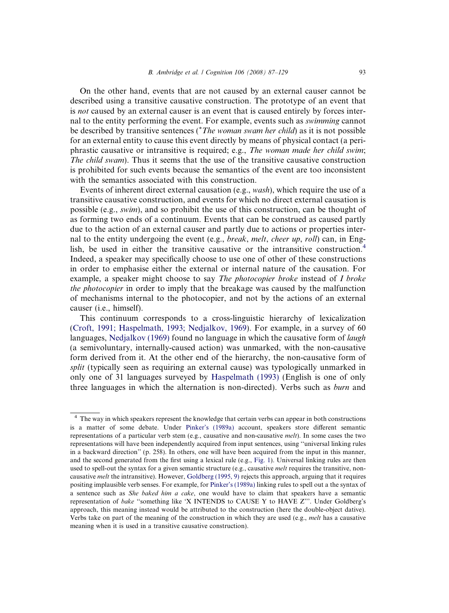On the other hand, events that are not caused by an external causer cannot be described using a transitive causative construction. The prototype of an event that is not caused by an external causer is an event that is caused entirely by forces internal to the entity performing the event. For example, events such as *swimming* cannot be described by transitive sentences ( $*The woman swam her child$ ) as it is not possible for an external entity to cause this event directly by means of physical contact (a periphrastic causative or intransitive is required; e.g., *The woman made her child swim*; The child swam). Thus it seems that the use of the transitive causative construction is prohibited for such events because the semantics of the event are too inconsistent with the semantics associated with this construction.

Events of inherent direct external causation (e.g., *wash*), which require the use of a transitive causative construction, and events for which no direct external causation is possible (e.g., swim), and so prohibit the use of this construction, can be thought of as forming two ends of a continuum. Events that can be construed as caused partly due to the action of an external causer and partly due to actions or properties internal to the entity undergoing the event (e.g., *break, melt, cheer up, roll*) can, in English, be used in either the transitive causative or the intransitive construction.<sup>4</sup> Indeed, a speaker may specifically choose to use one of other of these constructions in order to emphasise either the external or internal nature of the causation. For example, a speaker might choose to say *The photocopier broke* instead of I broke the photocopier in order to imply that the breakage was caused by the malfunction of mechanisms internal to the photocopier, and not by the actions of an external causer (i.e., himself).

This continuum corresponds to a cross-linguistic hierarchy of lexicalization [\(Croft, 1991; Haspelmath, 1993; Nedjalkov, 1969](#page-40-0)). For example, in a survey of 60 languages, [Nedjalkov \(1969\)](#page-41-0) found no language in which the causative form of *laugh* (a semivoluntary, internally-caused action) was unmarked, with the non-causative form derived from it. At the other end of the hierarchy, the non-causative form of split (typically seen as requiring an external cause) was typologically unmarked in only one of 31 languages surveyed by [Haspelmath \(1993\)](#page-40-0) (English is one of only three languages in which the alternation is non-directed). Verbs such as *burn* and

<sup>4</sup> The way in which speakers represent the knowledge that certain verbs can appear in both constructions is a matter of some debate. Under [Pinker's \(1989a\)](#page-41-0) account, speakers store different semantic representations of a particular verb stem (e.g., causative and non-causative *melt*). In some cases the two representations will have been independently acquired from input sentences, using ''universal linking rules in a backward direction'' (p. 258). In others, one will have been acquired from the input in this manner, and the second generated from the first using a lexical rule (e.g., [Fig. 1](#page-3-0)). Universal linking rules are then used to spell-out the syntax for a given semantic structure (e.g., causative *melt* requires the transitive, noncausative melt the intransitive). However, [Goldberg \(1995, 9\)](#page-40-0) rejects this approach, arguing that it requires positing implausible verb senses. For example, for [Pinker's \(1989a\)](#page-41-0) linking rules to spell out a the syntax of a sentence such as *She baked him a cake*, one would have to claim that speakers have a semantic representation of bake "something like 'X INTENDS to CAUSE Y to HAVE Z"'. Under Goldberg's approach, this meaning instead would be attributed to the construction (here the double-object dative). Verbs take on part of the meaning of the construction in which they are used (e.g., melt has a causative meaning when it is used in a transitive causative construction).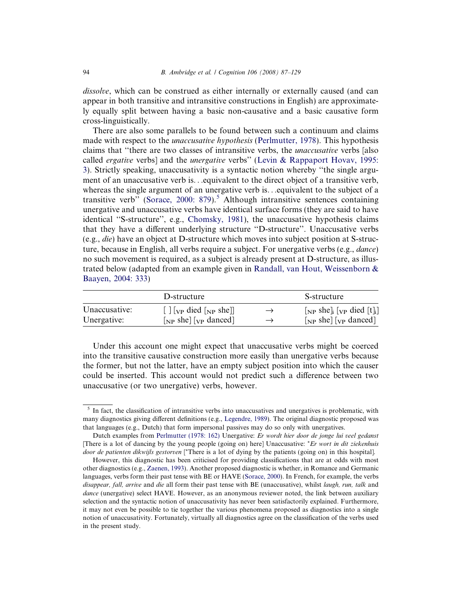dissolve, which can be construed as either internally or externally caused (and can appear in both transitive and intransitive constructions in English) are approximately equally split between having a basic non-causative and a basic causative form cross-linguistically.

There are also some parallels to be found between such a continuum and claims made with respect to the *unaccusative hypothesis* ([Perlmutter, 1978\)](#page-41-0). This hypothesis claims that ''there are two classes of intransitive verbs, the unaccusative verbs [also called *ergative* verbs] and the *unergative* verbs" ([Levin & Rappaport Hovav, 1995:](#page-41-0) [3\)](#page-41-0). Strictly speaking, unaccusativity is a syntactic notion whereby ''the single argument of an unaccusative verb is...equivalent to the direct object of a transitive verb, whereas the single argument of an unergative verb is...equivalent to the subject of a transitive verb<sup>"</sup> ([Sorace, 2000: 879](#page-42-0)).<sup>5</sup> Although intransitive sentences containing unergative and unaccusative verbs have identical surface forms (they are said to have identical ''S-structure'', e.g., [Chomsky, 1981\)](#page-40-0), the unaccusative hypothesis claims that they have a different underlying structure ''D-structure''. Unaccusative verbs (e.g., die) have an object at D-structure which moves into subject position at S-structure, because in English, all verbs require a subject. For unergative verbs (e.g., *dance*) no such movement is required, as a subject is already present at D-structure, as illustrated below (adapted from an example given in [Randall, van Hout, Weissenborn &](#page-41-0) [Baayen, 2004: 333](#page-41-0))

|               | D-structure                                                                  | S-structure   |                                                                                                                                         |
|---------------|------------------------------------------------------------------------------|---------------|-----------------------------------------------------------------------------------------------------------------------------------------|
| Unaccusative: | $\lceil \cdot \rceil$ $\lceil \cdot \rceil$ died $\lceil \cdot \rceil$ shell | $\rightarrow$ | $\lceil_{NP}$ she]; $\lceil_{VP}$ died $\lceil t \rceil$ ;                                                                              |
| Unergative:   | $\lceil_{NP}$ she $\lceil_{VP}$ danced $\rceil$                              | $\rightarrow$ | $\left[\begin{smallmatrix}N_P & \text{she}\end{smallmatrix}\right]\left[\begin{smallmatrix}V_P & \text{danced}\end{smallmatrix}\right]$ |

Under this account one might expect that unaccusative verbs might be coerced into the transitive causative construction more easily than unergative verbs because the former, but not the latter, have an empty subject position into which the causer could be inserted. This account would not predict such a difference between two unaccusative (or two unergative) verbs, however.

 $<sup>5</sup>$  In fact, the classification of intransitive verbs into unaccusatives and unergatives is problematic, with</sup> many diagnostics giving different definitions (e.g., [Legendre, 1989](#page-40-0)). The original diagnostic proposed was that languages (e.g., Dutch) that form impersonal passives may do so only with unergatives.

Dutch examples from [Perlmutter \(1978: 162\)](#page-41-0) Unergative: Er wordt hier door de jonge lui veel gedanst [There is a lot of dancing by the young people (going on) here] Unaccusative: \*Er wort in dit ziekenhuis door de patienten dikwijls gestorven [\*There is a lot of dying by the patients (going on) in this hospital].

However, this diagnostic has been criticised for providing classifications that are at odds with most other diagnostics (e.g., [Zaenen, 1993](#page-42-0)). Another proposed diagnostic is whether, in Romance and Germanic languages, verbs form their past tense with BE or HAVE [\(Sorace, 2000\)](#page-42-0). In French, for example, the verbs disappear, fall, arrive and die all form their past tense with BE (unaccusative), whilst laugh, run, talk and dance (unergative) select HAVE. However, as an anonymous reviewer noted, the link between auxiliary selection and the syntactic notion of unaccusativity has never been satisfactorily explained. Furthermore, it may not even be possible to tie together the various phenomena proposed as diagnostics into a single notion of unaccusativity. Fortunately, virtually all diagnostics agree on the classification of the verbs used in the present study.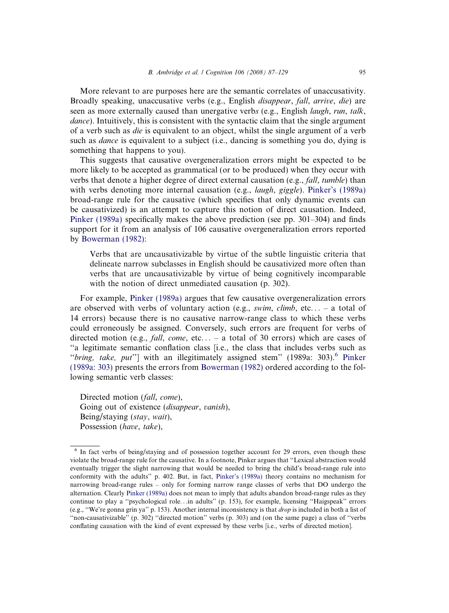<span id="page-8-0"></span>More relevant to are purposes here are the semantic correlates of unaccusativity. Broadly speaking, unaccusative verbs (e.g., English disappear, fall, arrive, die) are seen as more externally caused than unergative verbs (e.g., English *laugh, run, talk,* dance). Intuitively, this is consistent with the syntactic claim that the single argument of a verb such as *die* is equivalent to an object, whilst the single argument of a verb such as *dance* is equivalent to a subject (i.e., dancing is something you do, dying is something that happens to you).

This suggests that causative overgeneralization errors might be expected to be more likely to be accepted as grammatical (or to be produced) when they occur with verbs that denote a higher degree of direct external causation (e.g., *fall, tumble*) than with verbs denoting more internal causation (e.g., *laugh, giggle*). [Pinker's \(1989a\)](#page-41-0) broad-range rule for the causative (which specifies that only dynamic events can be causativized) is an attempt to capture this notion of direct causation. Indeed, [Pinker \(1989a\)](#page-41-0) specifically makes the above prediction (see pp. 301–304) and finds support for it from an analysis of 106 causative overgeneralization errors reported by [Bowerman \(1982\)](#page-40-0):

Verbs that are uncausativizable by virtue of the subtle linguistic criteria that delineate narrow subclasses in English should be causativized more often than verbs that are uncausativizable by virtue of being cognitively incomparable with the notion of direct unmediated causation (p. 302).

For example, [Pinker \(1989a\)](#page-41-0) argues that few causative overgeneralization errors are observed with verbs of voluntary action (e.g., *swim*, *climb*, etc... – a total of 14 errors) because there is no causative narrow-range class to which these verbs could erroneously be assigned. Conversely, such errors are frequent for verbs of directed motion (e.g., *fall, come, etc...* – a total of 30 errors) which are cases of ''a legitimate semantic conflation class [i.e., the class that includes verbs such as "*bring, take, put*"] with an illegitimately assigned stem" (1989a: 303).<sup>6</sup> [Pinker](#page-41-0) [\(1989a: 303\)](#page-41-0) presents the errors from [Bowerman \(1982\)](#page-40-0) ordered according to the following semantic verb classes:

Directed motion (fall, come), Going out of existence *(disappear, vanish)*, Being/staying (stay, wait), Possession (have, take),

<sup>&</sup>lt;sup>6</sup> In fact verbs of being/staying and of possession together account for 29 errors, even though these violate the broad-range rule for the causative. In a footnote, Pinker argues that ''Lexical abstraction would eventually trigger the slight narrowing that would be needed to bring the child's broad-range rule into conformity with the adults'' p. 402. But, in fact, [Pinker's \(1989a\)](#page-41-0) theory contains no mechanism for narrowing broad-range rules – only for forming narrow range classes of verbs that DO undergo the alternation. Clearly [Pinker \(1989a\)](#page-41-0) does not mean to imply that adults abandon broad-range rules as they continue to play a ''psychological role...in adults'' (p. 153), for example, licensing ''Haigspeak'' errors (e.g., ''We're gonna grin ya'' p. 153). Another internal inconsistency is that drop is included in both a list of ''non-causativizable'' (p. 302) ''directed motion'' verbs (p. 303) and (on the same page) a class of ''verbs conflating causation with the kind of event expressed by these verbs [i.e., verbs of directed motion].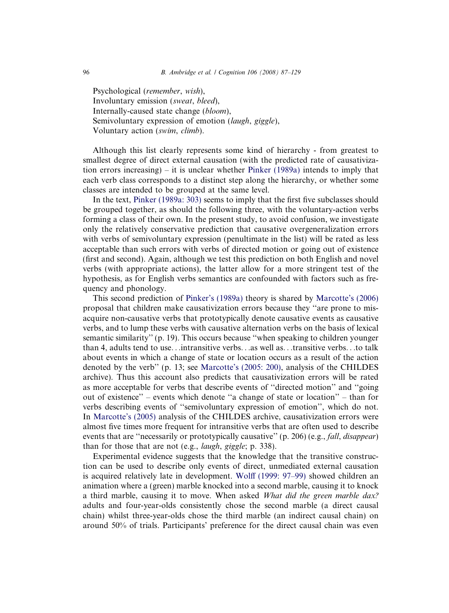Psychological (remember, wish), Involuntary emission (sweat, bleed), Internally-caused state change (bloom), Semivoluntary expression of emotion (laugh, giggle), Voluntary action (swim, climb).

Although this list clearly represents some kind of hierarchy - from greatest to smallest degree of direct external causation (with the predicted rate of causativization errors increasing) – it is unclear whether Pinker  $(1989a)$  intends to imply that each verb class corresponds to a distinct step along the hierarchy, or whether some classes are intended to be grouped at the same level.

In the text, [Pinker \(1989a: 303\)](#page-41-0) seems to imply that the first five subclasses should be grouped together, as should the following three, with the voluntary-action verbs forming a class of their own. In the present study, to avoid confusion, we investigate only the relatively conservative prediction that causative overgeneralization errors with verbs of semivoluntary expression (penultimate in the list) will be rated as less acceptable than such errors with verbs of directed motion or going out of existence (first and second). Again, although we test this prediction on both English and novel verbs (with appropriate actions), the latter allow for a more stringent test of the hypothesis, as for English verbs semantics are confounded with factors such as frequency and phonology.

This second prediction of [Pinker's \(1989a\)](#page-41-0) theory is shared by [Marcotte's \(2006\)](#page-41-0) proposal that children make causativization errors because they ''are prone to misacquire non-causative verbs that prototypically denote causative events as causative verbs, and to lump these verbs with causative alternation verbs on the basis of lexical semantic similarity'' (p. 19). This occurs because ''when speaking to children younger than 4, adults tend to use...intransitive verbs...as well as...transitive verbs...to talk about events in which a change of state or location occurs as a result of the action denoted by the verb'' (p. 13; see [Marcotte's \(2005: 200\),](#page-41-0) analysis of the CHILDES archive). Thus this account also predicts that causativization errors will be rated as more acceptable for verbs that describe events of ''directed motion'' and ''going out of existence'' – events which denote ''a change of state or location'' – than for verbs describing events of ''semivoluntary expression of emotion'', which do not. In [Marcotte's \(2005\)](#page-41-0) analysis of the CHILDES archive, causativization errors were almost five times more frequent for intransitive verbs that are often used to describe events that are "necessarily or prototypically causative" (p. 206) (e.g., *fall, disappear*) than for those that are not (e.g., laugh, giggle; p. 338).

Experimental evidence suggests that the knowledge that the transitive construction can be used to describe only events of direct, unmediated external causation is acquired relatively late in development. [Wolff \(1999: 97–99\)](#page-42-0) showed children an animation where a (green) marble knocked into a second marble, causing it to knock a third marble, causing it to move. When asked What did the green marble dax? adults and four-year-olds consistently chose the second marble (a direct causal chain) whilst three-year-olds chose the third marble (an indirect causal chain) on around 50% of trials. Participants' preference for the direct causal chain was even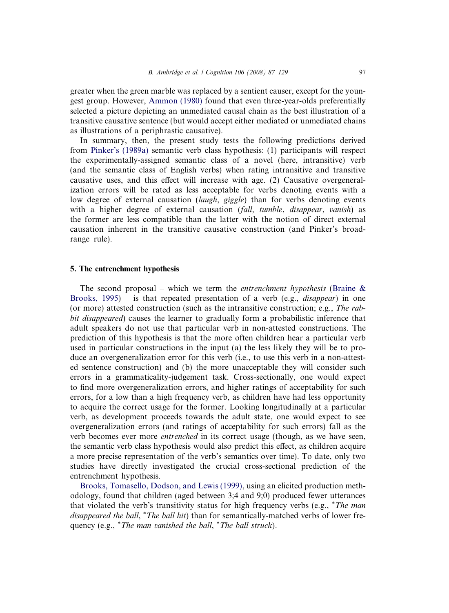greater when the green marble was replaced by a sentient causer, except for the youngest group. However, [Ammon \(1980\)](#page-40-0) found that even three-year-olds preferentially selected a picture depicting an unmediated causal chain as the best illustration of a transitive causative sentence (but would accept either mediated or unmediated chains as illustrations of a periphrastic causative).

In summary, then, the present study tests the following predictions derived from [Pinker's \(1989a\)](#page-41-0) semantic verb class hypothesis: (1) participants will respect the experimentally-assigned semantic class of a novel (here, intransitive) verb (and the semantic class of English verbs) when rating intransitive and transitive causative uses, and this effect will increase with age. (2) Causative overgeneralization errors will be rated as less acceptable for verbs denoting events with a low degree of external causation *(laugh, giggle)* than for verbs denoting events with a higher degree of external causation (fall, tumble, disappear, vanish) as the former are less compatible than the latter with the notion of direct external causation inherent in the transitive causative construction (and Pinker's broadrange rule).

#### 5. The entrenchment hypothesis

The second proposal – which we term the *entrenchment hypothesis* (Braine  $\&$ Brooks,  $1995$  – is that repeated presentation of a verb (e.g., *disappear*) in one (or more) attested construction (such as the intransitive construction; e.g., The rabbit disappeared) causes the learner to gradually form a probabilistic inference that adult speakers do not use that particular verb in non-attested constructions. The prediction of this hypothesis is that the more often children hear a particular verb used in particular constructions in the input (a) the less likely they will be to produce an overgeneralization error for this verb (i.e., to use this verb in a non-attested sentence construction) and (b) the more unacceptable they will consider such errors in a grammaticality-judgement task. Cross-sectionally, one would expect to find more overgeneralization errors, and higher ratings of acceptability for such errors, for a low than a high frequency verb, as children have had less opportunity to acquire the correct usage for the former. Looking longitudinally at a particular verb, as development proceeds towards the adult state, one would expect to see overgeneralization errors (and ratings of acceptability for such errors) fall as the verb becomes ever more *entrenched* in its correct usage (though, as we have seen, the semantic verb class hypothesis would also predict this effect, as children acquire a more precise representation of the verb's semantics over time). To date, only two studies have directly investigated the crucial cross-sectional prediction of the entrenchment hypothesis.

[Brooks, Tomasello, Dodson, and Lewis \(1999\),](#page-40-0) using an elicited production methodology, found that children (aged between 3;4 and 9;0) produced fewer utterances that violated the verb's transitivity status for high frequency verbs (e.g.,  $*$ *The man* disappeared the ball, <sup>\*</sup>The ball hit) than for semantically-matched verbs of lower frequency (e.g., <sup>\*</sup>The man vanished the ball, <sup>\*</sup>The ball struck).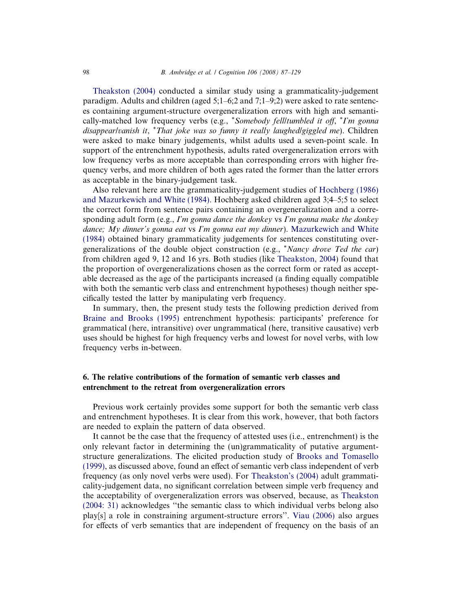[Theakston \(2004\)](#page-42-0) conducted a similar study using a grammaticality-judgement paradigm. Adults and children (aged 5;1–6;2 and 7;1–9;2) were asked to rate sentences containing argument-structure overgeneralization errors with high and semantically-matched low frequency verbs (e.g., \*Somebody fell/tumbled it off, \*I'm gonna disappear/vanish it, \*That joke was so funny it really laughed/giggled me). Children were asked to make binary judgements, whilst adults used a seven-point scale. In support of the entrenchment hypothesis, adults rated overgeneralization errors with low frequency verbs as more acceptable than corresponding errors with higher frequency verbs, and more children of both ages rated the former than the latter errors as acceptable in the binary-judgement task.

Also relevant here are the grammaticality-judgement studies of [Hochberg \(1986\)](#page-40-0) [and Mazurkewich and White \(1984\)](#page-40-0). Hochberg asked children aged 3;4–5;5 to select the correct form from sentence pairs containing an overgeneralization and a corresponding adult form (e.g., I'm gonna dance the donkey vs I'm gonna make the donkey dance; My dinner's gonna eat vs I'm gonna eat my dinner). [Mazurkewich and White](#page-41-0) [\(1984\)](#page-41-0) obtained binary grammaticality judgements for sentences constituting overgeneralizations of the double object construction (e.g., \*Nancy drove Ted the car) from children aged 9, 12 and 16 yrs. Both studies (like [Theakston, 2004](#page-42-0)) found that the proportion of overgeneralizations chosen as the correct form or rated as acceptable decreased as the age of the participants increased (a finding equally compatible with both the semantic verb class and entrenchment hypotheses) though neither specifically tested the latter by manipulating verb frequency.

In summary, then, the present study tests the following prediction derived from [Braine and Brooks \(1995\)](#page-40-0) entrenchment hypothesis: participants' preference for grammatical (here, intransitive) over ungrammatical (here, transitive causative) verb uses should be highest for high frequency verbs and lowest for novel verbs, with low frequency verbs in-between.

# 6. The relative contributions of the formation of semantic verb classes and entrenchment to the retreat from overgeneralization errors

Previous work certainly provides some support for both the semantic verb class and entrenchment hypotheses. It is clear from this work, however, that both factors are needed to explain the pattern of data observed.

It cannot be the case that the frequency of attested uses (i.e., entrenchment) is the only relevant factor in determining the (un)grammaticality of putative argumentstructure generalizations. The elicited production study of [Brooks and Tomasello](#page-40-0) [\(1999\)](#page-40-0), as discussed above, found an effect of semantic verb class independent of verb frequency (as only novel verbs were used). For [Theakston's \(2004\)](#page-42-0) adult grammaticality-judgement data, no significant correlation between simple verb frequency and the acceptability of overgeneralization errors was observed, because, as [Theakston](#page-42-0) [\(2004: 31\)](#page-42-0) acknowledges ''the semantic class to which individual verbs belong also play[s] a role in constraining argument-structure errors''. [Viau \(2006\)](#page-42-0) also argues for effects of verb semantics that are independent of frequency on the basis of an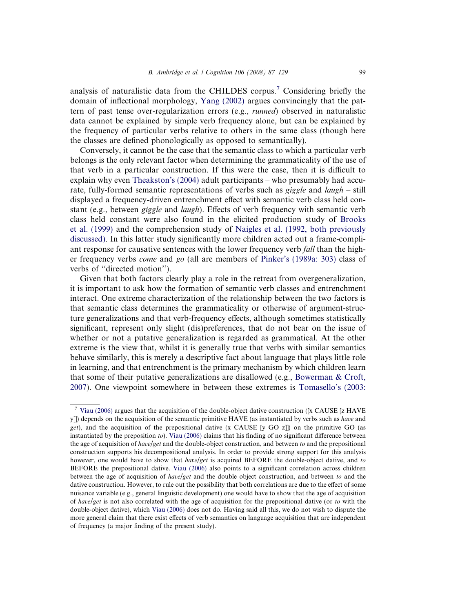analysis of naturalistic data from the CHILDES corpus.<sup>7</sup> Considering briefly the domain of inflectional morphology, [Yang \(2002\)](#page-42-0) argues convincingly that the pattern of past tense over-regularization errors (e.g., runned) observed in naturalistic data cannot be explained by simple verb frequency alone, but can be explained by the frequency of particular verbs relative to others in the same class (though here the classes are defined phonologically as opposed to semantically).

Conversely, it cannot be the case that the semantic class to which a particular verb belongs is the only relevant factor when determining the grammaticality of the use of that verb in a particular construction. If this were the case, then it is difficult to explain why even [Theakston's \(2004\)](#page-42-0) adult participants – who presumably had accurate, fully-formed semantic representations of verbs such as *giggle* and *laugh* – still displayed a frequency-driven entrenchment effect with semantic verb class held constant (e.g., between *giggle* and *laugh*). Effects of verb frequency with semantic verb class held constant were also found in the elicited production study of [Brooks](#page-40-0) [et al. \(1999\)](#page-40-0) and the comprehension study of [Naigles et al. \(1992, both previously](#page-41-0) [discussed\).](#page-41-0) In this latter study significantly more children acted out a frame-compliant response for causative sentences with the lower frequency verb *fall* than the higher frequency verbs come and go (all are members of [Pinker's \(1989a: 303\)](#page-41-0) class of verbs of ''directed motion'').

Given that both factors clearly play a role in the retreat from overgeneralization, it is important to ask how the formation of semantic verb classes and entrenchment interact. One extreme characterization of the relationship between the two factors is that semantic class determines the grammaticality or otherwise of argument-structure generalizations and that verb-frequency effects, although sometimes statistically significant, represent only slight (dis)preferences, that do not bear on the issue of whether or not a putative generalization is regarded as grammatical. At the other extreme is the view that, whilst it is generally true that verbs with similar semantics behave similarly, this is merely a descriptive fact about language that plays little role in learning, and that entrenchment is the primary mechanism by which children learn that some of their putative generalizations are disallowed (e.g., Bowerman  $\&$  Croft, [2007\)](#page-40-0). One viewpoint somewhere in between these extremes is [Tomasello's \(2003:](#page-42-0)

<sup>&</sup>lt;sup>7</sup> [Viau \(2006\)](#page-42-0) argues that the acquisition of the double-object dative construction ([x CAUSE [z HAVE y]]) depends on the acquisition of the semantic primitive HAVE (as instantiated by verbs such as *have* and get), and the acquisition of the prepositional dative (x CAUSE [y GO  $z$ ]]) on the primitive GO (as instantiated by the preposition  $to$ ). [Viau \(2006\)](#page-42-0) claims that his finding of no significant difference between the age of acquisition of have/get and the double-object construction, and between to and the prepositional construction supports his decompositional analysis. In order to provide strong support for this analysis however, one would have to show that *have/get* is acquired BEFORE the double-object dative, and to BEFORE the prepositional dative. [Viau \(2006\)](#page-42-0) also points to a significant correlation across children between the age of acquisition of *have/get* and the double object construction, and between to and the dative construction. However, to rule out the possibility that both correlations are due to the effect of some nuisance variable (e.g., general linguistic development) one would have to show that the age of acquisition of have/get is not also correlated with the age of acquisition for the prepositional dative (or to with the double-object dative), which [Viau \(2006\)](#page-42-0) does not do. Having said all this, we do not wish to dispute the more general claim that there exist effects of verb semantics on language acquisition that are independent of frequency (a major finding of the present study).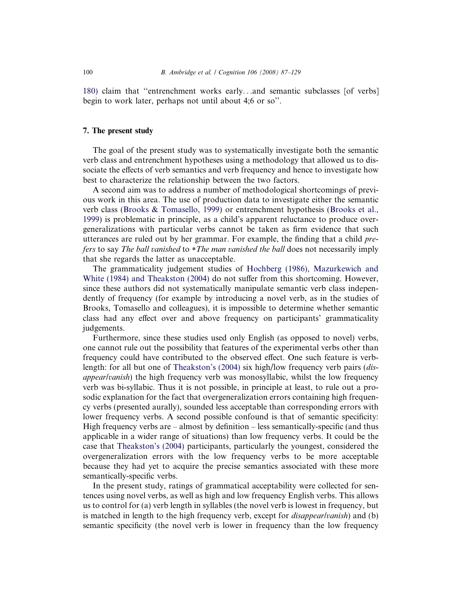[180\)](#page-42-0) claim that ''entrenchment works early...and semantic subclasses [of verbs] begin to work later, perhaps not until about 4;6 or so''.

## 7. The present study

The goal of the present study was to systematically investigate both the semantic verb class and entrenchment hypotheses using a methodology that allowed us to dissociate the effects of verb semantics and verb frequency and hence to investigate how best to characterize the relationship between the two factors.

A second aim was to address a number of methodological shortcomings of previous work in this area. The use of production data to investigate either the semantic verb class ([Brooks & Tomasello, 1999](#page-40-0)) or entrenchment hypothesis [\(Brooks et al.,](#page-40-0) [1999\)](#page-40-0) is problematic in principle, as a child's apparent reluctance to produce overgeneralizations with particular verbs cannot be taken as firm evidence that such utterances are ruled out by her grammar. For example, the finding that a child prefers to say The ball vanished to  $*$ The man vanished the ball does not necessarily imply that she regards the latter as unacceptable.

The grammaticality judgement studies of [Hochberg \(1986\), Mazurkewich and](#page-40-0) [White \(1984\) and Theakston \(2004\)](#page-40-0) do not suffer from this shortcoming. However, since these authors did not systematically manipulate semantic verb class independently of frequency (for example by introducing a novel verb, as in the studies of Brooks, Tomasello and colleagues), it is impossible to determine whether semantic class had any effect over and above frequency on participants' grammaticality judgements.

Furthermore, since these studies used only English (as opposed to novel) verbs, one cannot rule out the possibility that features of the experimental verbs other than frequency could have contributed to the observed effect. One such feature is verblength: for all but one of [Theakston's \(2004\)](#page-42-0) six high/low frequency verb pairs (disappear/vanish) the high frequency verb was monosyllabic, whilst the low frequency verb was bi-syllabic. Thus it is not possible, in principle at least, to rule out a prosodic explanation for the fact that overgeneralization errors containing high frequency verbs (presented aurally), sounded less acceptable than corresponding errors with lower frequency verbs. A second possible confound is that of semantic specificity: High frequency verbs are – almost by definition – less semantically-specific (and thus applicable in a wider range of situations) than low frequency verbs. It could be the case that [Theakston's \(2004\)](#page-42-0) participants, particularly the youngest, considered the overgeneralization errors with the low frequency verbs to be more acceptable because they had yet to acquire the precise semantics associated with these more semantically-specific verbs.

In the present study, ratings of grammatical acceptability were collected for sentences using novel verbs, as well as high and low frequency English verbs. This allows us to control for (a) verb length in syllables (the novel verb is lowest in frequency, but is matched in length to the high frequency verb, except for *disappear/vanish*) and (b) semantic specificity (the novel verb is lower in frequency than the low frequency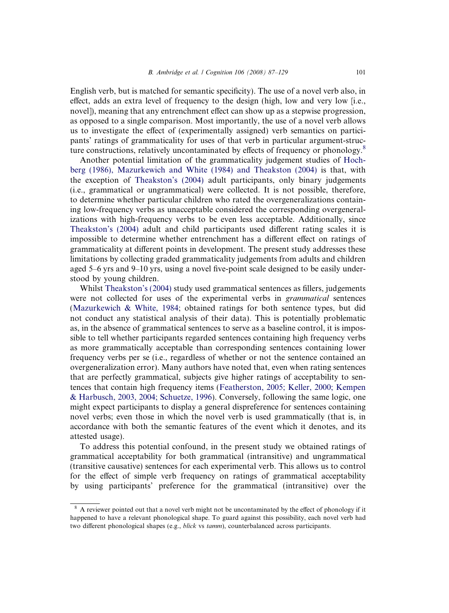English verb, but is matched for semantic specificity). The use of a novel verb also, in effect, adds an extra level of frequency to the design (high, low and very low [i.e., novel]), meaning that any entrenchment effect can show up as a stepwise progression, as opposed to a single comparison. Most importantly, the use of a novel verb allows us to investigate the effect of (experimentally assigned) verb semantics on participants' ratings of grammaticality for uses of that verb in particular argument-structure constructions, relatively uncontaminated by effects of frequency or phonology.<sup>8</sup>

Another potential limitation of the grammaticality judgement studies of [Hoch](#page-40-0)[berg \(1986\), Mazurkewich and White \(1984\) and Theakston \(2004\)](#page-40-0) is that, with the exception of [Theakston's \(2004\)](#page-42-0) adult participants, only binary judgements (i.e., grammatical or ungrammatical) were collected. It is not possible, therefore, to determine whether particular children who rated the overgeneralizations containing low-frequency verbs as unacceptable considered the corresponding overgeneralizations with high-frequency verbs to be even less acceptable. Additionally, since [Theakston's \(2004\)](#page-42-0) adult and child participants used different rating scales it is impossible to determine whether entrenchment has a different effect on ratings of grammaticality at different points in development. The present study addresses these limitations by collecting graded grammaticality judgements from adults and children aged 5–6 yrs and 9–10 yrs, using a novel five-point scale designed to be easily understood by young children.

Whilst [Theakston's \(2004\)](#page-42-0) study used grammatical sentences as fillers, judgements were not collected for uses of the experimental verbs in *grammatical* sentences [\(Mazurkewich & White, 1984;](#page-41-0) obtained ratings for both sentence types, but did not conduct any statistical analysis of their data). This is potentially problematic as, in the absence of grammatical sentences to serve as a baseline control, it is impossible to tell whether participants regarded sentences containing high frequency verbs as more grammatically acceptable than corresponding sentences containing lower frequency verbs per se (i.e., regardless of whether or not the sentence contained an overgeneralization error). Many authors have noted that, even when rating sentences that are perfectly grammatical, subjects give higher ratings of acceptability to sentences that contain high frequency items [\(Featherston, 2005; Keller, 2000; Kempen](#page-40-0) [& Harbusch, 2003, 2004; Schuetze, 1996](#page-40-0)). Conversely, following the same logic, one might expect participants to display a general dispreference for sentences containing novel verbs; even those in which the novel verb is used grammatically (that is, in accordance with both the semantic features of the event which it denotes, and its attested usage).

To address this potential confound, in the present study we obtained ratings of grammatical acceptability for both grammatical (intransitive) and ungrammatical (transitive causative) sentences for each experimental verb. This allows us to control for the effect of simple verb frequency on ratings of grammatical acceptability by using participants' preference for the grammatical (intransitive) over the

<sup>&</sup>lt;sup>8</sup> A reviewer pointed out that a novel verb might not be uncontaminated by the effect of phonology if it happened to have a relevant phonological shape. To guard against this possibility, each novel verb had two different phonological shapes (e.g., blick vs tamm), counterbalanced across participants.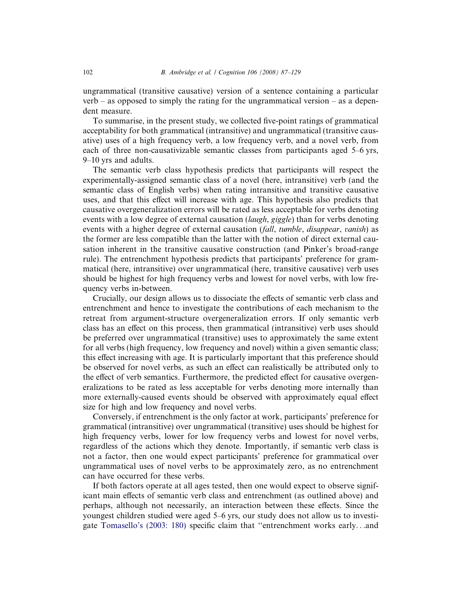ungrammatical (transitive causative) version of a sentence containing a particular verb – as opposed to simply the rating for the ungrammatical version – as a dependent measure.

To summarise, in the present study, we collected five-point ratings of grammatical acceptability for both grammatical (intransitive) and ungrammatical (transitive causative) uses of a high frequency verb, a low frequency verb, and a novel verb, from each of three non-causativizable semantic classes from participants aged 5–6 yrs, 9–10 yrs and adults.

The semantic verb class hypothesis predicts that participants will respect the experimentally-assigned semantic class of a novel (here, intransitive) verb (and the semantic class of English verbs) when rating intransitive and transitive causative uses, and that this effect will increase with age. This hypothesis also predicts that causative overgeneralization errors will be rated as less acceptable for verbs denoting events with a low degree of external causation *(laugh, giggle)* than for verbs denoting events with a higher degree of external causation *(fall, tumble, disappear, vanish)* as the former are less compatible than the latter with the notion of direct external causation inherent in the transitive causative construction (and Pinker's broad-range rule). The entrenchment hypothesis predicts that participants' preference for grammatical (here, intransitive) over ungrammatical (here, transitive causative) verb uses should be highest for high frequency verbs and lowest for novel verbs, with low frequency verbs in-between.

Crucially, our design allows us to dissociate the effects of semantic verb class and entrenchment and hence to investigate the contributions of each mechanism to the retreat from argument-structure overgeneralization errors. If only semantic verb class has an effect on this process, then grammatical (intransitive) verb uses should be preferred over ungrammatical (transitive) uses to approximately the same extent for all verbs (high frequency, low frequency and novel) within a given semantic class; this effect increasing with age. It is particularly important that this preference should be observed for novel verbs, as such an effect can realistically be attributed only to the effect of verb semantics. Furthermore, the predicted effect for causative overgeneralizations to be rated as less acceptable for verbs denoting more internally than more externally-caused events should be observed with approximately equal effect size for high and low frequency and novel verbs.

Conversely, if entrenchment is the only factor at work, participants' preference for grammatical (intransitive) over ungrammatical (transitive) uses should be highest for high frequency verbs, lower for low frequency verbs and lowest for novel verbs, regardless of the actions which they denote. Importantly, if semantic verb class is not a factor, then one would expect participants' preference for grammatical over ungrammatical uses of novel verbs to be approximately zero, as no entrenchment can have occurred for these verbs.

If both factors operate at all ages tested, then one would expect to observe significant main effects of semantic verb class and entrenchment (as outlined above) and perhaps, although not necessarily, an interaction between these effects. Since the youngest children studied were aged 5–6 yrs, our study does not allow us to investigate [Tomasello's \(2003: 180\)](#page-42-0) specific claim that ''entrenchment works early...and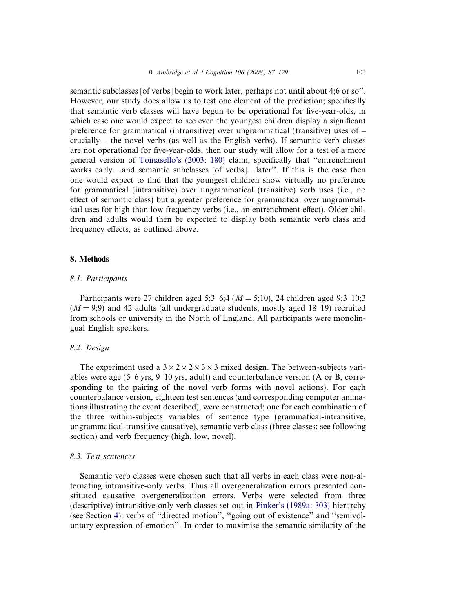semantic subclasses [of verbs] begin to work later, perhaps not until about 4;6 or so''. However, our study does allow us to test one element of the prediction; specifically that semantic verb classes will have begun to be operational for five-year-olds, in which case one would expect to see even the youngest children display a significant preference for grammatical (intransitive) over ungrammatical (transitive) uses of – crucially – the novel verbs (as well as the English verbs). If semantic verb classes are not operational for five-year-olds, then our study will allow for a test of a more general version of [Tomasello's \(2003: 180\)](#page-42-0) claim; specifically that ''entrenchment works early...and semantic subclasses [of verbs]...later". If this is the case then one would expect to find that the youngest children show virtually no preference for grammatical (intransitive) over ungrammatical (transitive) verb uses (i.e., no effect of semantic class) but a greater preference for grammatical over ungrammatical uses for high than low frequency verbs (i.e., an entrenchment effect). Older children and adults would then be expected to display both semantic verb class and frequency effects, as outlined above.

# 8. Methods

## 8.1. Participants

Participants were 27 children aged 5;3–6;4 ( $M = 5;10$ ), 24 children aged 9;3–10;3  $(M = 9.9)$  and 42 adults (all undergraduate students, mostly aged 18–19) recruited from schools or university in the North of England. All participants were monolingual English speakers.

## 8.2. Design

The experiment used a  $3 \times 2 \times 2 \times 3 \times 3$  mixed design. The between-subjects variables were age (5–6 yrs, 9–10 yrs, adult) and counterbalance version (A or B, corresponding to the pairing of the novel verb forms with novel actions). For each counterbalance version, eighteen test sentences (and corresponding computer animations illustrating the event described), were constructed; one for each combination of the three within-subjects variables of sentence type (grammatical-intransitive, ungrammatical-transitive causative), semantic verb class (three classes; see following section) and verb frequency (high, low, novel).

## 8.3. Test sentences

Semantic verb classes were chosen such that all verbs in each class were non-alternating intransitive-only verbs. Thus all overgeneralization errors presented constituted causative overgeneralization errors. Verbs were selected from three (descriptive) intransitive-only verb classes set out in [Pinker's \(1989a: 303\)](#page-41-0) hierarchy (see Section [4\)](#page-1-0): verbs of ''directed motion'', ''going out of existence'' and ''semivoluntary expression of emotion''. In order to maximise the semantic similarity of the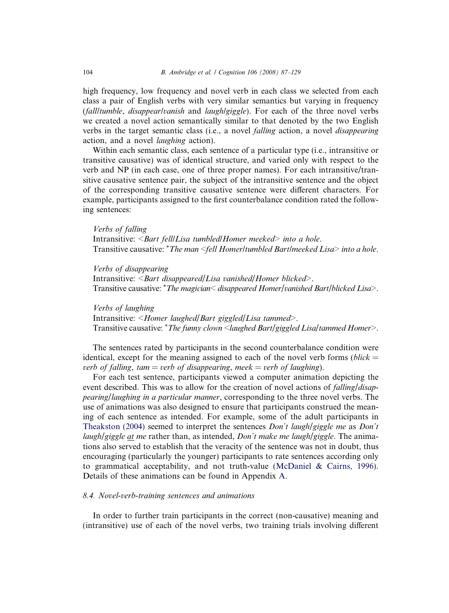high frequency, low frequency and novel verb in each class we selected from each class a pair of English verbs with very similar semantics but varying in frequency (fall/tumble, disappear/vanish and laugh/giggle). For each of the three novel verbs we created a novel action semantically similar to that denoted by the two English verbs in the target semantic class (i.e., a novel falling action, a novel disappearing action, and a novel laughing action).

Within each semantic class, each sentence of a particular type (i.e., intransitive or transitive causative) was of identical structure, and varied only with respect to the verb and NP (in each case, one of three proper names). For each intransitive/transitive causative sentence pair, the subject of the intransitive sentence and the object of the corresponding transitive causative sentence were different characters. For example, participants assigned to the first counterbalance condition rated the following sentences:

Verbs of falling Intransitive: <Bart fell/Lisa tumbled/Homer meeked> into a hole. Transitive causative:  $*$  The man  $\leq$  Fell Homer/tumbled Bart/meeked Lisa $>$  into a hole.

Verbs of disappearing Intransitive:  $\langle$ Bart disappeared/Lisa vanished/Homer blicked $\rangle$ . Transitive causative: \*The magician< disappeared Homer/vanished Bart/blicked Lisa>.

Verbs of laughing Intransitive: <Homer laughed/Bart giggled/Lisa tammed>. Transitive causative:  $*The \, funny \, clown \, \langle \text{Z} \rangle$  and  $Bart/giggled \, \text{Lis}$  altermated Homer

The sentences rated by participants in the second counterbalance condition were identical, except for the meaning assigned to each of the novel verb forms ( $blick =$ verb of falling, tam = verb of disappearing, meek = verb of laughing).

For each test sentence, participants viewed a computer animation depicting the event described. This was to allow for the creation of novel actions of *falling/disap*pearing/laughing in a particular manner, corresponding to the three novel verbs. The use of animations was also designed to ensure that participants construed the meaning of each sentence as intended. For example, some of the adult participants in [Theakston \(2004\)](#page-42-0) seemed to interpret the sentences  $Don't \, lawph/giggle \, me$  as  $Don't$ laugh/giggle at me rather than, as intended, *Don't make me laugh/giggle*. The animations also served to establish that the veracity of the sentence was not in doubt, thus encouraging (particularly the younger) participants to rate sentences according only to grammatical acceptability, and not truth-value ([McDaniel & Cairns, 1996](#page-41-0)). Details of these animations can be found in Appendix A.

## 8.4. Novel-verb-training sentences and animations

In order to further train participants in the correct (non-causative) meaning and (intransitive) use of each of the novel verbs, two training trials involving different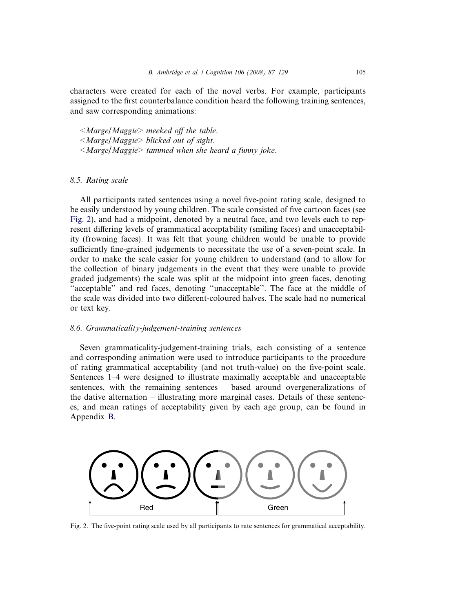characters were created for each of the novel verbs. For example, participants assigned to the first counterbalance condition heard the following training sentences, and saw corresponding animations:

 $\langle$ Marge/Maggie $\rangle$  meeked off the table. <Marge/Maggie> blicked out of sight.  $\leq$ Marge/Maggie $>$  tammed when she heard a funny joke.

# 8.5. Rating scale

All participants rated sentences using a novel five-point rating scale, designed to be easily understood by young children. The scale consisted of five cartoon faces (see Fig. 2), and had a midpoint, denoted by a neutral face, and two levels each to represent differing levels of grammatical acceptability (smiling faces) and unacceptability (frowning faces). It was felt that young children would be unable to provide sufficiently fine-grained judgements to necessitate the use of a seven-point scale. In order to make the scale easier for young children to understand (and to allow for the collection of binary judgements in the event that they were unable to provide graded judgements) the scale was split at the midpoint into green faces, denoting "acceptable" and red faces, denoting "unacceptable". The face at the middle of the scale was divided into two different-coloured halves. The scale had no numerical or text key.

### 8.6. Grammaticality-judgement-training sentences

Seven grammaticality-judgement-training trials, each consisting of a sentence and corresponding animation were used to introduce participants to the procedure of rating grammatical acceptability (and not truth-value) on the five-point scale. Sentences 1–4 were designed to illustrate maximally acceptable and unacceptable sentences, with the remaining sentences – based around overgeneralizations of the dative alternation – illustrating more marginal cases. Details of these sentences, and mean ratings of acceptability given by each age group, can be found in Appendix [B.](#page-37-0)



Fig. 2. The five-point rating scale used by all participants to rate sentences for grammatical acceptability.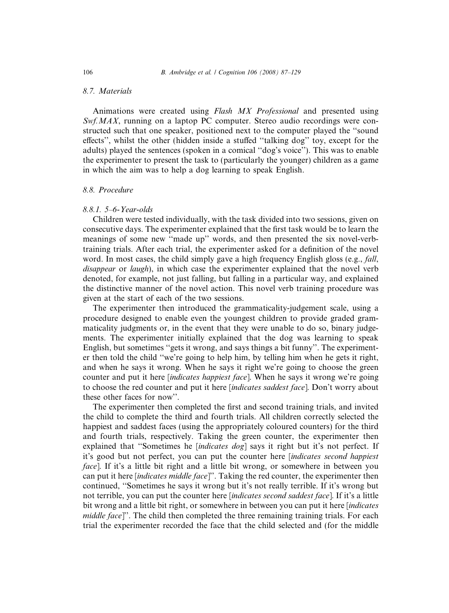# 8.7. Materials

Animations were created using Flash MX Professional and presented using  $Swf, MAX$ , running on a laptop PC computer. Stereo audio recordings were constructed such that one speaker, positioned next to the computer played the ''sound effects'', whilst the other (hidden inside a stuffed ''talking dog'' toy, except for the adults) played the sentences (spoken in a comical ''dog's voice''). This was to enable the experimenter to present the task to (particularly the younger) children as a game in which the aim was to help a dog learning to speak English.

#### 8.8. Procedure

## 8.8.1. 5–6-Year-olds

Children were tested individually, with the task divided into two sessions, given on consecutive days. The experimenter explained that the first task would be to learn the meanings of some new ''made up'' words, and then presented the six novel-verbtraining trials. After each trial, the experimenter asked for a definition of the novel word. In most cases, the child simply gave a high frequency English gloss (e.g., *fall*, disappear or laugh), in which case the experimenter explained that the novel verb denoted, for example, not just falling, but falling in a particular way, and explained the distinctive manner of the novel action. This novel verb training procedure was given at the start of each of the two sessions.

The experimenter then introduced the grammaticality-judgement scale, using a procedure designed to enable even the youngest children to provide graded grammaticality judgments or, in the event that they were unable to do so, binary judgements. The experimenter initially explained that the dog was learning to speak English, but sometimes ''gets it wrong, and says things a bit funny''. The experimenter then told the child ''we're going to help him, by telling him when he gets it right, and when he says it wrong. When he says it right we're going to choose the green counter and put it here [indicates happiest face]. When he says it wrong we're going to choose the red counter and put it here *[indicates saddest face*]. Don't worry about these other faces for now''.

The experimenter then completed the first and second training trials, and invited the child to complete the third and fourth trials. All children correctly selected the happiest and saddest faces (using the appropriately coloured counters) for the third and fourth trials, respectively. Taking the green counter, the experimenter then explained that "Sometimes he [indicates dog] says it right but it's not perfect. If it's good but not perfect, you can put the counter here [indicates second happiest face]. If it's a little bit right and a little bit wrong, or somewhere in between you can put it here [indicates middle face]". Taking the red counter, the experimenter then continued, ''Sometimes he says it wrong but it's not really terrible. If it's wrong but not terrible, you can put the counter here *[indicates second saddest face*]. If it's a little bit wrong and a little bit right, or somewhere in between you can put it here [indicates  $middle face$ ]". The child then completed the three remaining training trials. For each trial the experimenter recorded the face that the child selected and (for the middle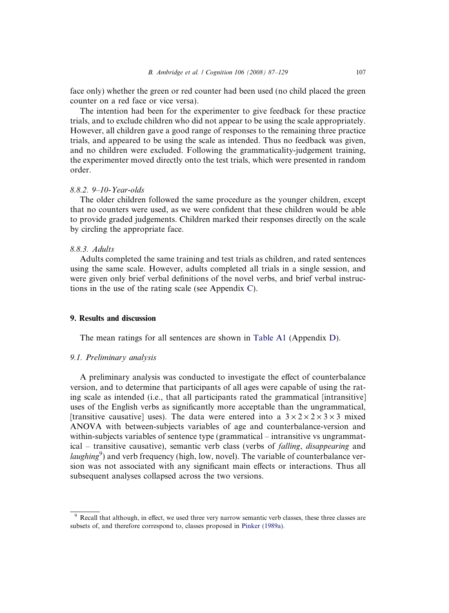face only) whether the green or red counter had been used (no child placed the green counter on a red face or vice versa).

The intention had been for the experimenter to give feedback for these practice trials, and to exclude children who did not appear to be using the scale appropriately. However, all children gave a good range of responses to the remaining three practice trials, and appeared to be using the scale as intended. Thus no feedback was given, and no children were excluded. Following the grammaticality-judgement training, the experimenter moved directly onto the test trials, which were presented in random order.

#### 8.8.2. 9–10-Year-olds

The older children followed the same procedure as the younger children, except that no counters were used, as we were confident that these children would be able to provide graded judgements. Children marked their responses directly on the scale by circling the appropriate face.

#### 8.8.3. Adults

Adults completed the same training and test trials as children, and rated sentences using the same scale. However, adults completed all trials in a single session, and were given only brief verbal definitions of the novel verbs, and brief verbal instructions in the use of the rating scale (see Appendix C).

## 9. Results and discussion

The mean ratings for all sentences are shown in [Table A1](#page-39-0) (Appendix D).

#### 9.1. Preliminary analysis

A preliminary analysis was conducted to investigate the effect of counterbalance version, and to determine that participants of all ages were capable of using the rating scale as intended (i.e., that all participants rated the grammatical [intransitive] uses of the English verbs as significantly more acceptable than the ungrammatical, [transitive causative] uses]. The data were entered into a  $3 \times 2 \times 2 \times 3 \times 3$  mixed ANOVA with between-subjects variables of age and counterbalance-version and within-subjects variables of sentence type (grammatical – intransitive vs ungrammatical – transitive causative), semantic verb class (verbs of falling, disappearing and laughing<sup>9</sup>) and verb frequency (high, low, novel). The variable of counterbalance version was not associated with any significant main effects or interactions. Thus all subsequent analyses collapsed across the two versions.

<sup>9</sup> Recall that although, in effect, we used three very narrow semantic verb classes, these three classes are subsets of, and therefore correspond to, classes proposed in [Pinker \(1989a\).](#page-41-0)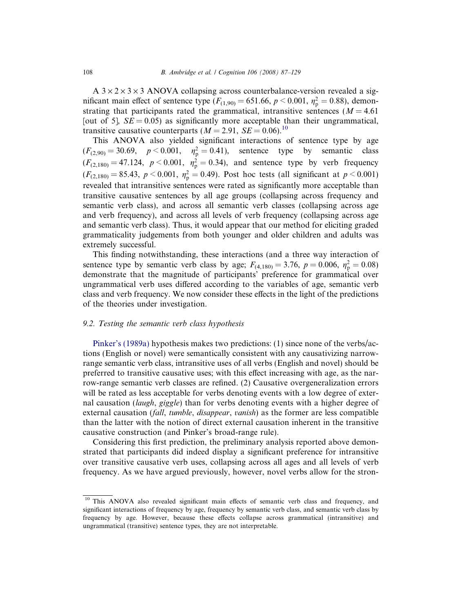A  $3 \times 2 \times 3 \times 3$  ANOVA collapsing across counterbalance-version revealed a significant main effect of sentence type ( $F_{(1,90)} = 651.66$ ,  $p \le 0.001$ ,  $\eta_p^2 = 0.88$ ), demonstrating that participants rated the grammatical, intransitive sentences ( $M = 4.61$ ) [out of 5],  $SE = 0.05$ ) as significantly more acceptable than their ungrammatical, transitive causative counterparts ( $M = 2.91$ ,  $SE = 0.06$ ).<sup>10</sup>

This ANOVA also yielded significant interactions of sentence type by age  $(F_{(2,90)} = 30.69, p \le 0.001, \eta_p^2 = 0.41)$ , sentence type by semantic class  $(F_{(2,180)} = 47.124, p \le 0.001, \eta_p^2 = 0.34)$ , and sentence type by verb frequency  $(F_{(2,180)} = 85.43, p \le 0.001, \eta_p^2 = 0.49)$ . Post hoc tests (all significant at  $p \le 0.001$ ) revealed that intransitive sentences were rated as significantly more acceptable than transitive causative sentences by all age groups (collapsing across frequency and semantic verb class), and across all semantic verb classes (collapsing across age and verb frequency), and across all levels of verb frequency (collapsing across age and semantic verb class). Thus, it would appear that our method for eliciting graded grammaticality judgements from both younger and older children and adults was extremely successful.

This finding notwithstanding, these interactions (and a three way interaction of sentence type by semantic verb class by age;  $F_{(4,180)} = 3.76$ ,  $p = 0.006$ ,  $\eta_p^2 = 0.08$ ) demonstrate that the magnitude of participants' preference for grammatical over ungrammatical verb uses differed according to the variables of age, semantic verb class and verb frequency. We now consider these effects in the light of the predictions of the theories under investigation.

#### 9.2. Testing the semantic verb class hypothesis

[Pinker's \(1989a\)](#page-41-0) hypothesis makes two predictions: (1) since none of the verbs/actions (English or novel) were semantically consistent with any causativizing narrowrange semantic verb class, intransitive uses of all verbs (English and novel) should be preferred to transitive causative uses; with this effect increasing with age, as the narrow-range semantic verb classes are refined. (2) Causative overgeneralization errors will be rated as less acceptable for verbs denoting events with a low degree of external causation (*laugh*, *giggle*) than for verbs denoting events with a higher degree of external causation *(fall, tumble, disappear, vanish)* as the former are less compatible than the latter with the notion of direct external causation inherent in the transitive causative construction (and Pinker's broad-range rule).

Considering this first prediction, the preliminary analysis reported above demonstrated that participants did indeed display a significant preference for intransitive over transitive causative verb uses, collapsing across all ages and all levels of verb frequency. As we have argued previously, however, novel verbs allow for the stron-

<sup>&</sup>lt;sup>10</sup> This ANOVA also revealed significant main effects of semantic verb class and frequency, and significant interactions of frequency by age, frequency by semantic verb class, and semantic verb class by frequency by age. However, because these effects collapse across grammatical (intransitive) and ungrammatical (transitive) sentence types, they are not interpretable.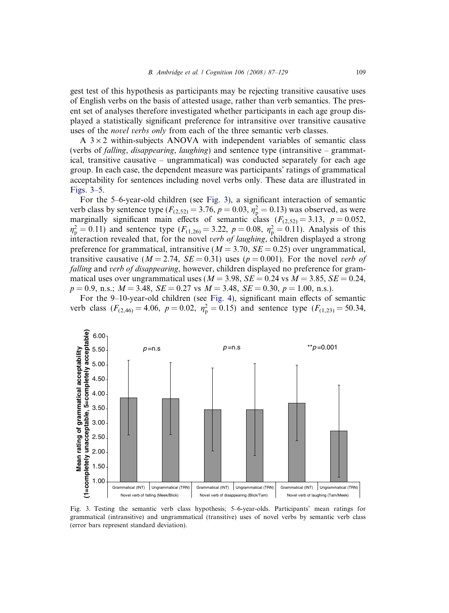gest test of this hypothesis as participants may be rejecting transitive causative uses of English verbs on the basis of attested usage, rather than verb semantics. The present set of analyses therefore investigated whether participants in each age group displayed a statistically significant preference for intransitive over transitive causative uses of the *novel verbs only* from each of the three semantic verb classes.

A  $3 \times 2$  within-subjects ANOVA with independent variables of semantic class (verbs of *falling*, *disappearing*, *laughing*) and sentence type (intransitive – grammatical, transitive causative – ungrammatical) was conducted separately for each age group. In each case, the dependent measure was participants' ratings of grammatical acceptability for sentences including novel verbs only. These data are illustrated in Figs. 3–5.

For the 5–6-year-old children (see Fig. 3), a significant interaction of semantic verb class by sentence type ( $F_{(2,52)} = 3.76$ ,  $p = 0.03$ ,  $\eta_{\rm p}^2 = 0.13$ ) was observed, as were marginally significant main effects of semantic class  $(F_{(2,52)} = 3.13, p = 0.052,$  $\eta_{\rm p}^2 = 0.11$ ) and sentence type  $(F_{(1,26)} = 3.22, p = 0.08, \eta_{\rm p}^2 = 0.11)$ . Analysis of this interaction revealed that, for the novel verb of laughing, children displayed a strong preference for grammatical, intransitive ( $M = 3.70$ ,  $SE = 0.25$ ) over ungrammatical, transitive causative ( $M = 2.74$ ,  $SE = 0.31$ ) uses ( $p = 0.001$ ). For the novel verb of falling and verb of disappearing, however, children displayed no preference for grammatical uses over ungrammatical uses ( $M = 3.98$ ,  $SE = 0.24$  vs  $M = 3.85$ ,  $SE = 0.24$ ,  $p = 0.9$ , n.s.;  $M = 3.48$ ,  $SE = 0.27$  vs  $M = 3.48$ ,  $SE = 0.30$ ,  $p = 1.00$ , n.s.).

For the 9–10-year-old children (see [Fig. 4](#page-23-0)), significant main effects of semantic verb class  $(F_{(2,46)} = 4.06, p = 0.02, \eta_{\rm p}^2 = 0.15)$  and sentence type  $(F_{(1,23)} = 50.34,$ 



Fig. 3. Testing the semantic verb class hypothesis; 5–6-year-olds. Participants' mean ratings for grammatical (intransitive) and ungrammatical (transitive) uses of novel verbs by semantic verb class (error bars represent standard deviation).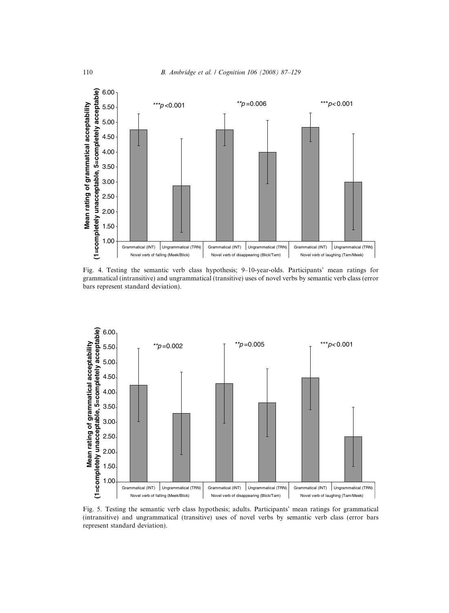<span id="page-23-0"></span>

Fig. 4. Testing the semantic verb class hypothesis; 9–10-year-olds. Participants' mean ratings for grammatical (intransitive) and ungrammatical (transitive) uses of novel verbs by semantic verb class (error bars represent standard deviation).



Fig. 5. Testing the semantic verb class hypothesis; adults. Participants' mean ratings for grammatical (intransitive) and ungrammatical (transitive) uses of novel verbs by semantic verb class (error bars represent standard deviation).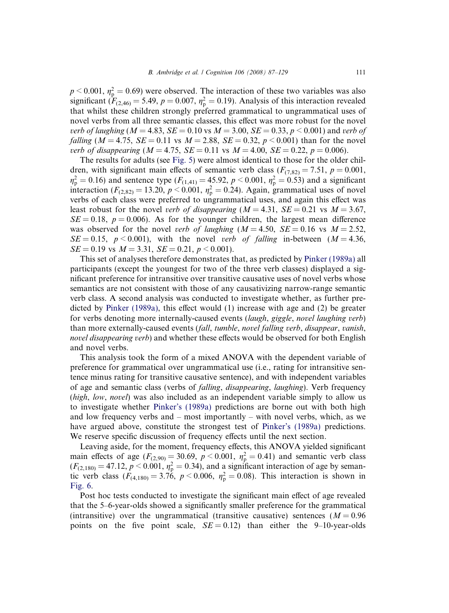$p \le 0.001$ ,  $\eta_{\rm p}^2 = 0.69$ ) were observed. The interaction of these two variables was also significant ( $F_{(2,46)} = 5.49$ ,  $p = 0.007$ ,  $\eta_p^2 = 0.19$ ). Analysis of this interaction revealed that whilst these children strongly preferred grammatical to ungrammatical uses of novel verbs from all three semantic classes, this effect was more robust for the novel verb of laughing ( $M = 4.83$ ,  $SE = 0.10$  vs  $M = 3.00$ ,  $SE = 0.33$ ,  $p < 0.001$ ) and verb of falling ( $M = 4.75$ ,  $SE = 0.11$  vs  $M = 2.88$ ,  $SE = 0.32$ ,  $p < 0.001$ ) than for the novel verb of disappearing  $(M = 4.75, SE = 0.11$  vs  $M = 4.00, SE = 0.22, p = 0.006$ .

The results for adults (see [Fig. 5\)](#page-23-0) were almost identical to those for the older children, with significant main effects of semantic verb class ( $F_{(7,82)} = 7.51$ ,  $p = 0.001$ ,  $\eta_{\rm p}^2 = 0.16$ ) and sentence type ( $F_{(1,41)} = 45.92$ ,  $p < 0.001$ ,  $\eta_{\rm p}^2 = 0.53$ ) and a significant interaction ( $F_{(2,82)} = 13.20$ ,  $p < 0.001$ ,  $\eta_p^2 = 0.24$ ). Again, grammatical uses of novel verbs of each class were preferred to ungrammatical uses, and again this effect was least robust for the novel verb of disappearing  $(M = 4.31, SE = 0.21$  vs  $M = 3.67$ ,  $SE = 0.18$ ,  $p = 0.006$ ). As for the younger children, the largest mean difference was observed for the novel verb of laughing  $(M = 4.50, SE = 0.16$  vs  $M = 2.52$ ,  $SE = 0.15$ ,  $p < 0.001$ ), with the novel verb of falling in-between  $(M = 4.36$ ,  $SE = 0.19$  vs  $M = 3.31$ ,  $SE = 0.21$ ,  $p \le 0.001$ ).

This set of analyses therefore demonstrates that, as predicted by [Pinker \(1989a\)](#page-41-0) all participants (except the youngest for two of the three verb classes) displayed a significant preference for intransitive over transitive causative uses of novel verbs whose semantics are not consistent with those of any causativizing narrow-range semantic verb class. A second analysis was conducted to investigate whether, as further predicted by [Pinker \(1989a\),](#page-41-0) this effect would (1) increase with age and (2) be greater for verbs denoting more internally-caused events *(laugh, giggle, novel laughing verb)* than more externally-caused events (fall, tumble, novel falling verb, disappear, vanish, novel disappearing verb) and whether these effects would be observed for both English and novel verbs.

This analysis took the form of a mixed ANOVA with the dependent variable of preference for grammatical over ungrammatical use (i.e., rating for intransitive sentence minus rating for transitive causative sentence), and with independent variables of age and semantic class (verbs of falling, disappearing, laughing). Verb frequency (high, low, novel) was also included as an independent variable simply to allow us to investigate whether [Pinker's \(1989a\)](#page-41-0) predictions are borne out with both high and low frequency verbs and – most importantly – with novel verbs, which, as we have argued above, constitute the strongest test of [Pinker's \(1989a\)](#page-41-0) predictions. We reserve specific discussion of frequency effects until the next section.

Leaving aside, for the moment, frequency effects, this ANOVA yielded significant main effects of age ( $F_{(2,90)} = 30.69$ ,  $p < 0.001$ ,  $\eta_p^2 = 0.41$ ) and semantic verb class  $(F_{(2,180)} = 47.12, p \le 0.001, \eta_{\rm p}^2 = 0.34)$ , and a significant interaction of age by semantic verb class  $(F_{(4,180)} = 3.76, p < 0.006, \eta_p^2 = 0.08)$ . This interaction is shown in [Fig. 6](#page-25-0).

Post hoc tests conducted to investigate the significant main effect of age revealed that the 5–6-year-olds showed a significantly smaller preference for the grammatical (intransitive) over the ungrammatical (transitive causative) sentences ( $M = 0.96$ ) points on the five point scale,  $SE = 0.12$ ) than either the 9–10-year-olds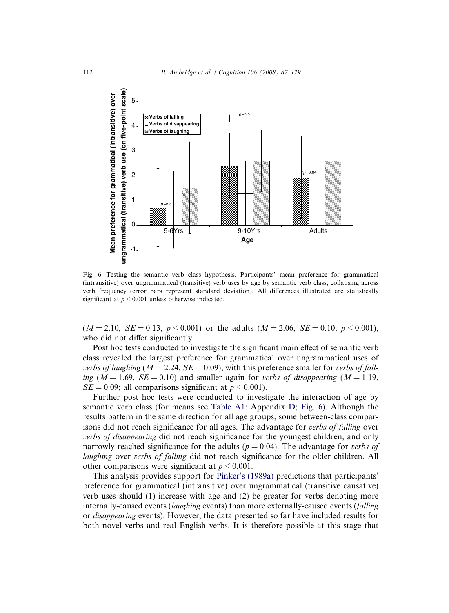<span id="page-25-0"></span>

Fig. 6. Testing the semantic verb class hypothesis. Participants' mean preference for grammatical (intransitive) over ungrammatical (transitive) verb uses by age by semantic verb class, collapsing across verb frequency (error bars represent standard deviation). All differences illustrated are statistically significant at  $p \le 0.001$  unless otherwise indicated.

 $(M = 2.10, SE = 0.13, p \le 0.001)$  or the adults  $(M = 2.06, SE = 0.10, p \le 0.001)$ , who did not differ significantly.

Post hoc tests conducted to investigate the significant main effect of semantic verb class revealed the largest preference for grammatical over ungrammatical uses of verbs of laughing ( $M = 2.24$ ,  $SE = 0.09$ ), with this preference smaller for verbs of falling  $(M = 1.69, SE = 0.10)$  and smaller again for verbs of disappearing  $(M = 1.19,$  $SE = 0.09$ ; all comparisons significant at  $p \le 0.001$ ).

Further post hoc tests were conducted to investigate the interaction of age by semantic verb class (for means see [Table A1](#page-39-0): Appendix D; Fig. 6). Although the results pattern in the same direction for all age groups, some between-class comparisons did not reach significance for all ages. The advantage for verbs of falling over verbs of disappearing did not reach significance for the youngest children, and only narrowly reached significance for the adults ( $p = 0.04$ ). The advantage for verbs of laughing over verbs of falling did not reach significance for the older children. All other comparisons were significant at  $p \leq 0.001$ .

This analysis provides support for [Pinker's \(1989a\)](#page-41-0) predictions that participants' preference for grammatical (intransitive) over ungrammatical (transitive causative) verb uses should (1) increase with age and (2) be greater for verbs denoting more internally-caused events (laughing events) than more externally-caused events (falling or disappearing events). However, the data presented so far have included results for both novel verbs and real English verbs. It is therefore possible at this stage that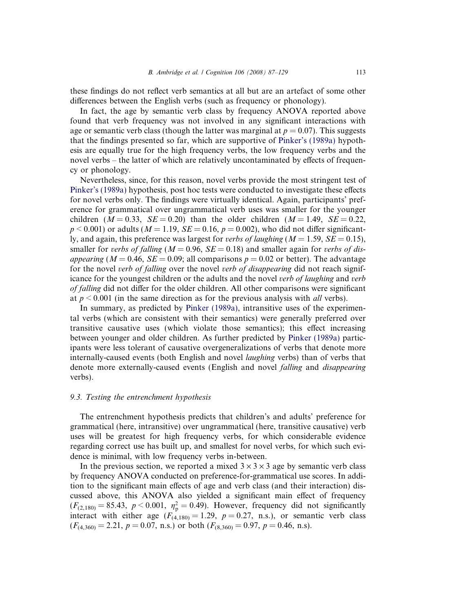these findings do not reflect verb semantics at all but are an artefact of some other differences between the English verbs (such as frequency or phonology).

In fact, the age by semantic verb class by frequency ANOVA reported above found that verb frequency was not involved in any significant interactions with age or semantic verb class (though the latter was marginal at  $p = 0.07$ ). This suggests that the findings presented so far, which are supportive of [Pinker's \(1989a\)](#page-41-0) hypothesis are equally true for the high frequency verbs, the low frequency verbs and the novel verbs – the latter of which are relatively uncontaminated by effects of frequency or phonology.

Nevertheless, since, for this reason, novel verbs provide the most stringent test of [Pinker's \(1989a\)](#page-41-0) hypothesis, post hoc tests were conducted to investigate these effects for novel verbs only. The findings were virtually identical. Again, participants' preference for grammatical over ungrammatical verb uses was smaller for the younger children  $(M = 0.33, SE = 0.20)$  than the older children  $(M = 1.49, SE = 0.22)$ .  $p < 0.001$ ) or adults ( $M = 1.19$ ,  $SE = 0.16$ ,  $p = 0.002$ ), who did not differ significantly, and again, this preference was largest for *verbs of laughing* ( $M = 1.59$ ,  $SE = 0.15$ ), smaller for verbs of falling ( $M = 0.96$ ,  $SE = 0.18$ ) and smaller again for verbs of disappearing ( $M = 0.46$ ,  $SE = 0.09$ ; all comparisons  $p = 0.02$  or better). The advantage for the novel verb of falling over the novel verb of disappearing did not reach significance for the youngest children or the adults and the novel verb of laughing and verb of falling did not differ for the older children. All other comparisons were significant at  $p \le 0.001$  (in the same direction as for the previous analysis with *all* verbs).

In summary, as predicted by [Pinker \(1989a\),](#page-41-0) intransitive uses of the experimental verbs (which are consistent with their semantics) were generally preferred over transitive causative uses (which violate those semantics); this effect increasing between younger and older children. As further predicted by [Pinker \(1989a\)](#page-41-0) participants were less tolerant of causative overgeneralizations of verbs that denote more internally-caused events (both English and novel *laughing* verbs) than of verbs that denote more externally-caused events (English and novel *falling* and *disappearing* verbs).

# 9.3. Testing the entrenchment hypothesis

The entrenchment hypothesis predicts that children's and adults' preference for grammatical (here, intransitive) over ungrammatical (here, transitive causative) verb uses will be greatest for high frequency verbs, for which considerable evidence regarding correct use has built up, and smallest for novel verbs, for which such evidence is minimal, with low frequency verbs in-between.

In the previous section, we reported a mixed  $3 \times 3 \times 3$  age by semantic verb class by frequency ANOVA conducted on preference-for-grammatical use scores. In addition to the significant main effects of age and verb class (and their interaction) discussed above, this ANOVA also yielded a significant main effect of frequency  $(F_{(2,180)} = 85.43, p \le 0.001, \eta_p^2 = 0.49)$ . However, frequency did not significantly interact with either age  $(F_{(4,180)} = 1.29, p = 0.27, n.s.)$ , or semantic verb class  $(F_{(4,360)} = 2.21, p = 0.07, n.s.)$  or both  $(F_{(8,360)} = 0.97, p = 0.46, n.s).$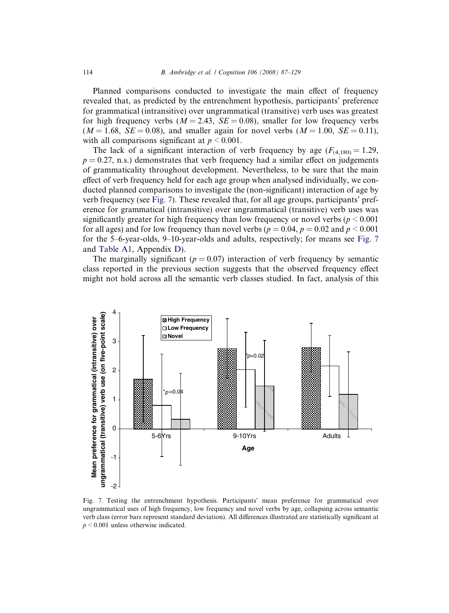Planned comparisons conducted to investigate the main effect of frequency revealed that, as predicted by the entrenchment hypothesis, participants' preference for grammatical (intransitive) over ungrammatical (transitive) verb uses was greatest for high frequency verbs ( $M = 2.43$ ,  $SE = 0.08$ ), smaller for low frequency verbs  $(M = 1.68, SE = 0.08)$ , and smaller again for novel verbs  $(M = 1.00, SE = 0.11)$ , with all comparisons significant at  $p \le 0.001$ .

The lack of a significant interaction of verb frequency by age ( $F_{(4,180)} = 1.29$ ,  $p = 0.27$ , n.s.) demonstrates that verb frequency had a similar effect on judgements of grammaticality throughout development. Nevertheless, to be sure that the main effect of verb frequency held for each age group when analysed individually, we conducted planned comparisons to investigate the (non-significant) interaction of age by verb frequency (see Fig. 7). These revealed that, for all age groups, participants' preference for grammatical (intransitive) over ungrammatical (transitive) verb uses was significantly greater for high frequency than low frequency or novel verbs ( $p \le 0.001$ ) for all ages) and for low frequency than novel verbs ( $p = 0.04$ ,  $p = 0.02$  and  $p < 0.001$ for the 5–6-year-olds, 9–10-year-olds and adults, respectively; for means see Fig. 7 and [Table A1](#page-39-0), Appendix D).

The marginally significant ( $p = 0.07$ ) interaction of verb frequency by semantic class reported in the previous section suggests that the observed frequency effect might not hold across all the semantic verb classes studied. In fact, analysis of this



Fig. 7. Testing the entrenchment hypothesis. Participants' mean preference for grammatical over ungrammatical uses of high frequency, low frequency and novel verbs by age, collapsing across semantic verb class (error bars represent standard deviation). All differences illustrated are statistically significant at  $p \leq 0.001$  unless otherwise indicated.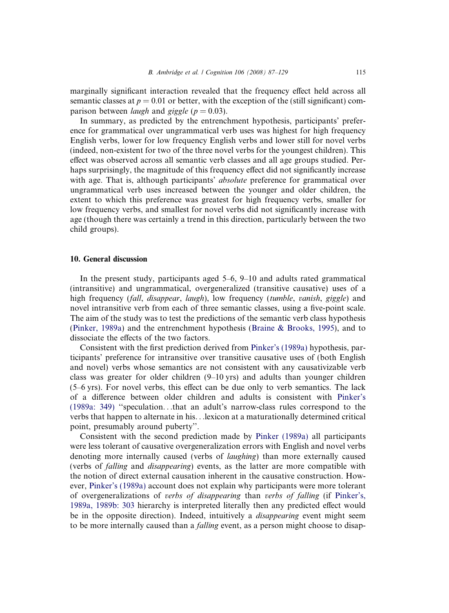marginally significant interaction revealed that the frequency effect held across all semantic classes at  $p = 0.01$  or better, with the exception of the (still significant) comparison between *laugh* and *giggle* ( $p = 0.03$ ).

In summary, as predicted by the entrenchment hypothesis, participants' preference for grammatical over ungrammatical verb uses was highest for high frequency English verbs, lower for low frequency English verbs and lower still for novel verbs (indeed, non-existent for two of the three novel verbs for the youngest children). This effect was observed across all semantic verb classes and all age groups studied. Perhaps surprisingly, the magnitude of this frequency effect did not significantly increase with age. That is, although participants' *absolute* preference for grammatical over ungrammatical verb uses increased between the younger and older children, the extent to which this preference was greatest for high frequency verbs, smaller for low frequency verbs, and smallest for novel verbs did not significantly increase with age (though there was certainly a trend in this direction, particularly between the two child groups).

#### 10. General discussion

In the present study, participants aged 5–6, 9–10 and adults rated grammatical (intransitive) and ungrammatical, overgeneralized (transitive causative) uses of a high frequency *(fall, disappear, laugh)*, low frequency *(tumble, vanish, giggle)* and novel intransitive verb from each of three semantic classes, using a five-point scale. The aim of the study was to test the predictions of the semantic verb class hypothesis [\(Pinker, 1989a\)](#page-41-0) and the entrenchment hypothesis [\(Braine & Brooks, 1995](#page-40-0)), and to dissociate the effects of the two factors.

Consistent with the first prediction derived from [Pinker's \(1989a\)](#page-41-0) hypothesis, participants' preference for intransitive over transitive causative uses of (both English and novel) verbs whose semantics are not consistent with any causativizable verb class was greater for older children (9–10 yrs) and adults than younger children (5–6 yrs). For novel verbs, this effect can be due only to verb semantics. The lack of a difference between older children and adults is consistent with [Pinker's](#page-41-0) [\(1989a: 349\)](#page-41-0) ''speculation...that an adult's narrow-class rules correspond to the verbs that happen to alternate in his...lexicon at a maturationally determined critical point, presumably around puberty''.

Consistent with the second prediction made by [Pinker \(1989a\)](#page-41-0) all participants were less tolerant of causative overgeneralization errors with English and novel verbs denoting more internally caused (verbs of *laughing*) than more externally caused (verbs of *falling* and *disappearing*) events, as the latter are more compatible with the notion of direct external causation inherent in the causative construction. However, [Pinker's \(1989a\)](#page-41-0) account does not explain why participants were more tolerant of overgeneralizations of verbs of disappearing than verbs of falling (if [Pinker's,](#page-41-0) [1989a, 1989b: 303](#page-41-0) hierarchy is interpreted literally then any predicted effect would be in the opposite direction). Indeed, intuitively a *disappearing* event might seem to be more internally caused than a *falling* event, as a person might choose to disap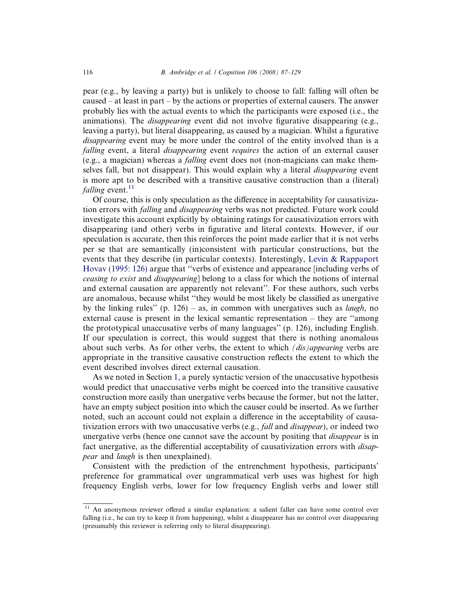pear (e.g., by leaving a party) but is unlikely to choose to fall: falling will often be caused – at least in part – by the actions or properties of external causers. The answer probably lies with the actual events to which the participants were exposed (i.e., the animations). The *disappearing* event did not involve figurative disappearing (e.g., leaving a party), but literal disappearing, as caused by a magician. Whilst a figurative disappearing event may be more under the control of the entity involved than is a falling event, a literal *disappearing* event *requires* the action of an external causer (e.g., a magician) whereas a falling event does not (non-magicians can make themselves fall, but not disappear). This would explain why a literal disappearing event is more apt to be described with a transitive causative construction than a (literal) falling event. $11$ 

Of course, this is only speculation as the difference in acceptability for causativization errors with *falling* and *disappearing* verbs was not predicted. Future work could investigate this account explicitly by obtaining ratings for causativization errors with disappearing (and other) verbs in figurative and literal contexts. However, if our speculation is accurate, then this reinforces the point made earlier that it is not verbs per se that are semantically (in)consistent with particular constructions, but the events that they describe (in particular contexts). Interestingly, [Levin & Rappaport](#page-41-0) [Hovav \(1995: 126\)](#page-41-0) argue that ''verbs of existence and appearance [including verbs of ceasing to exist and disappearing] belong to a class for which the notions of internal and external causation are apparently not relevant''. For these authors, such verbs are anomalous, because whilst ''they would be most likely be classified as unergative by the linking rules" (p. 126) – as, in common with unergatives such as *laugh*, no external cause is present in the lexical semantic representation – they are ''among the prototypical unaccusative verbs of many languages'' (p. 126), including English. If our speculation is correct, this would suggest that there is nothing anomalous about such verbs. As for other verbs, the extent to which  $(dis)$  appearing verbs are appropriate in the transitive causative construction reflects the extent to which the event described involves direct external causation.

As we noted in Section [1,](#page-1-0) a purely syntactic version of the unaccusative hypothesis would predict that unaccusative verbs might be coerced into the transitive causative construction more easily than unergative verbs because the former, but not the latter, have an empty subject position into which the causer could be inserted. As we further noted, such an account could not explain a difference in the acceptability of causativization errors with two unaccusative verbs (e.g., *fall* and *disappear*), or indeed two unergative verbs (hence one cannot save the account by positing that *disappear* is in fact unergative, as the differential acceptability of causativization errors with *disap*pear and laugh is then unexplained).

Consistent with the prediction of the entrenchment hypothesis, participants' preference for grammatical over ungrammatical verb uses was highest for high frequency English verbs, lower for low frequency English verbs and lower still

<sup>&</sup>lt;sup>11</sup> An anonymous reviewer offered a similar explanation: a salient faller can have some control over falling (i.e., he can try to keep it from happening), whilst a disappearer has no control over disappearing (presumably this reviewer is referring only to literal disappearing).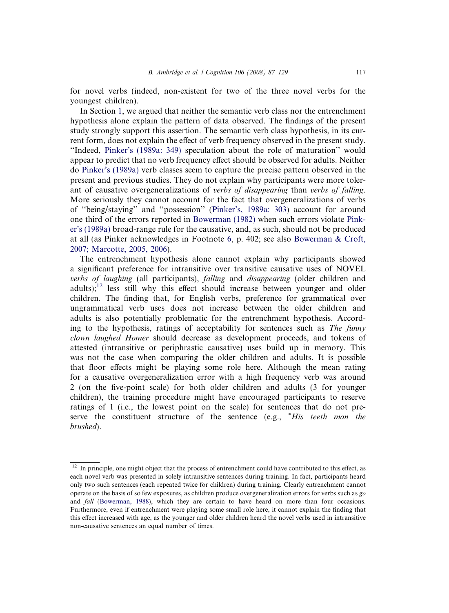for novel verbs (indeed, non-existent for two of the three novel verbs for the youngest children).

In Section [1](#page-1-0), we argued that neither the semantic verb class nor the entrenchment hypothesis alone explain the pattern of data observed. The findings of the present study strongly support this assertion. The semantic verb class hypothesis, in its current form, does not explain the effect of verb frequency observed in the present study. ''Indeed, [Pinker's \(1989a: 349\)](#page-41-0) speculation about the role of maturation'' would appear to predict that no verb frequency effect should be observed for adults. Neither do [Pinker's \(1989a\)](#page-41-0) verb classes seem to capture the precise pattern observed in the present and previous studies. They do not explain why participants were more tolerant of causative overgeneralizations of verbs of disappearing than verbs of falling. More seriously they cannot account for the fact that overgeneralizations of verbs of ''being/staying'' and ''possession'' [\(Pinker's, 1989a: 303\)](#page-41-0) account for around one third of the errors reported in [Bowerman \(1982\)](#page-40-0) when such errors violate [Pink](#page-41-0)[er's \(1989a\)](#page-41-0) broad-range rule for the causative, and, as such, should not be produced at all (as Pinker acknowledges in Footnote [6,](#page-8-0) p. 402; see also [Bowerman & Croft,](#page-40-0) [2007; Marcotte, 2005, 2006\)](#page-40-0).

The entrenchment hypothesis alone cannot explain why participants showed a significant preference for intransitive over transitive causative uses of NOVEL verbs of laughing (all participants), falling and disappearing (older children and adults);<sup>12</sup> less still why this effect should increase between younger and older children. The finding that, for English verbs, preference for grammatical over ungrammatical verb uses does not increase between the older children and adults is also potentially problematic for the entrenchment hypothesis. According to the hypothesis, ratings of acceptability for sentences such as The funny clown laughed Homer should decrease as development proceeds, and tokens of attested (intransitive or periphrastic causative) uses build up in memory. This was not the case when comparing the older children and adults. It is possible that floor effects might be playing some role here. Although the mean rating for a causative overgeneralization error with a high frequency verb was around 2 (on the five-point scale) for both older children and adults (3 for younger children), the training procedure might have encouraged participants to reserve ratings of 1 (i.e., the lowest point on the scale) for sentences that do not preserve the constituent structure of the sentence  $(e.g., 'His' teeth man the$ brushed).

<sup>&</sup>lt;sup>12</sup> In principle, one might object that the process of entrenchment could have contributed to this effect, as each novel verb was presented in solely intransitive sentences during training. In fact, participants heard only two such sentences (each repeated twice for children) during training. Clearly entrenchment cannot operate on the basis of so few exposures, as children produce overgeneralization errors for verbs such as  $go$ and fall ([Bowerman, 1988\)](#page-40-0), which they are certain to have heard on more than four occasions. Furthermore, even if entrenchment were playing some small role here, it cannot explain the finding that this effect increased with age, as the younger and older children heard the novel verbs used in intransitive non-causative sentences an equal number of times.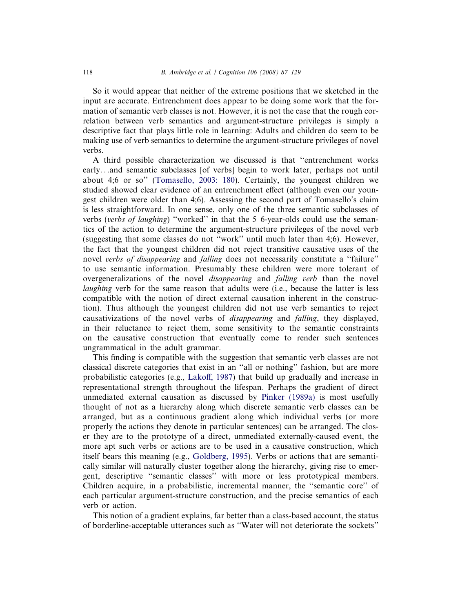So it would appear that neither of the extreme positions that we sketched in the input are accurate. Entrenchment does appear to be doing some work that the formation of semantic verb classes is not. However, it is not the case that the rough correlation between verb semantics and argument-structure privileges is simply a descriptive fact that plays little role in learning: Adults and children do seem to be making use of verb semantics to determine the argument-structure privileges of novel verbs.

A third possible characterization we discussed is that ''entrenchment works early...and semantic subclasses [of verbs] begin to work later, perhaps not until about 4;6 or so'' ([Tomasello, 2003: 180\)](#page-42-0). Certainly, the youngest children we studied showed clear evidence of an entrenchment effect (although even our youngest children were older than 4;6). Assessing the second part of Tomasello's claim is less straightforward. In one sense, only one of the three semantic subclasses of verbs (verbs of laughing) "worked" in that the 5–6-year-olds could use the semantics of the action to determine the argument-structure privileges of the novel verb (suggesting that some classes do not ''work'' until much later than 4;6). However, the fact that the youngest children did not reject transitive causative uses of the novel verbs of disappearing and falling does not necessarily constitute a "failure" to use semantic information. Presumably these children were more tolerant of overgeneralizations of the novel disappearing and falling verb than the novel laughing verb for the same reason that adults were (i.e., because the latter is less compatible with the notion of direct external causation inherent in the construction). Thus although the youngest children did not use verb semantics to reject causativizations of the novel verbs of disappearing and falling, they displayed, in their reluctance to reject them, some sensitivity to the semantic constraints on the causative construction that eventually come to render such sentences ungrammatical in the adult grammar.

This finding is compatible with the suggestion that semantic verb classes are not classical discrete categories that exist in an ''all or nothing'' fashion, but are more probabilistic categories (e.g., [Lakoff, 1987](#page-40-0)) that build up gradually and increase in representational strength throughout the lifespan. Perhaps the gradient of direct unmediated external causation as discussed by [Pinker \(1989a\)](#page-41-0) is most usefully thought of not as a hierarchy along which discrete semantic verb classes can be arranged, but as a continuous gradient along which individual verbs (or more properly the actions they denote in particular sentences) can be arranged. The closer they are to the prototype of a direct, unmediated externally-caused event, the more apt such verbs or actions are to be used in a causative construction, which itself bears this meaning (e.g., [Goldberg, 1995\)](#page-40-0). Verbs or actions that are semantically similar will naturally cluster together along the hierarchy, giving rise to emergent, descriptive ''semantic classes'' with more or less prototypical members. Children acquire, in a probabilistic, incremental manner, the ''semantic core'' of each particular argument-structure construction, and the precise semantics of each verb or action.

This notion of a gradient explains, far better than a class-based account, the status of borderline-acceptable utterances such as ''Water will not deteriorate the sockets''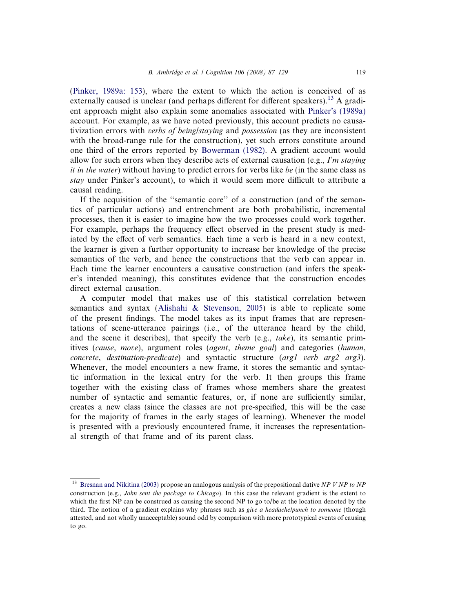[\(Pinker, 1989a: 153\)](#page-41-0), where the extent to which the action is conceived of as externally caused is unclear (and perhaps different for different speakers).<sup>13</sup> A gradient approach might also explain some anomalies associated with [Pinker's \(1989a\)](#page-41-0) account. For example, as we have noted previously, this account predicts no causativization errors with *verbs of being/staying* and *possession* (as they are inconsistent with the broad-range rule for the construction), yet such errors constitute around one third of the errors reported by [Bowerman \(1982\)](#page-40-0). A gradient account would allow for such errors when they describe acts of external causation (e.g.,  $\Gamma m$  staying it in the water) without having to predict errors for verbs like be (in the same class as stay under Pinker's account), to which it would seem more difficult to attribute a causal reading.

If the acquisition of the ''semantic core'' of a construction (and of the semantics of particular actions) and entrenchment are both probabilistic, incremental processes, then it is easier to imagine how the two processes could work together. For example, perhaps the frequency effect observed in the present study is mediated by the effect of verb semantics. Each time a verb is heard in a new context, the learner is given a further opportunity to increase her knowledge of the precise semantics of the verb, and hence the constructions that the verb can appear in. Each time the learner encounters a causative construction (and infers the speaker's intended meaning), this constitutes evidence that the construction encodes direct external causation.

A computer model that makes use of this statistical correlation between semantics and syntax ([Alishahi & Stevenson, 2005\)](#page-40-0) is able to replicate some of the present findings. The model takes as its input frames that are representations of scene-utterance pairings (i.e., of the utterance heard by the child, and the scene it describes), that specify the verb (e.g.,  $take$ ), its semantic primitives (cause, move), argument roles (agent, theme goal) and categories (human, concrete, destination-predicate) and syntactic structure  $(\arg l \nvert \nvert \arg l \nvert \arg 2 \nvert \arg 3)$ . Whenever, the model encounters a new frame, it stores the semantic and syntactic information in the lexical entry for the verb. It then groups this frame together with the existing class of frames whose members share the greatest number of syntactic and semantic features, or, if none are sufficiently similar, creates a new class (since the classes are not pre-specified, this will be the case for the majority of frames in the early stages of learning). Whenever the model is presented with a previously encountered frame, it increases the representational strength of that frame and of its parent class.

<sup>&</sup>lt;sup>13</sup> [Bresnan and Nikitina \(2003\)](#page-40-0) propose an analogous analysis of the prepositional dative NP V NP to NP construction (e.g., *John sent the package to Chicago*). In this case the relevant gradient is the extent to which the first NP can be construed as causing the second NP to go to/be at the location denoted by the third. The notion of a gradient explains why phrases such as give a headache/punch to someone (though attested, and not wholly unacceptable) sound odd by comparison with more prototypical events of causing to go.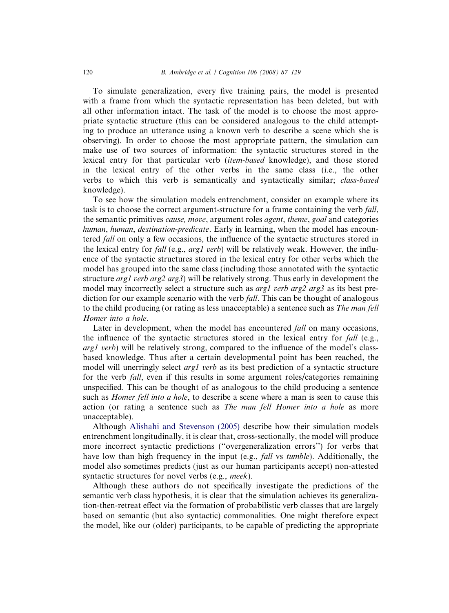To simulate generalization, every five training pairs, the model is presented with a frame from which the syntactic representation has been deleted, but with all other information intact. The task of the model is to choose the most appropriate syntactic structure (this can be considered analogous to the child attempting to produce an utterance using a known verb to describe a scene which she is observing). In order to choose the most appropriate pattern, the simulation can make use of two sources of information: the syntactic structures stored in the lexical entry for that particular verb (item-based knowledge), and those stored in the lexical entry of the other verbs in the same class (i.e., the other verbs to which this verb is semantically and syntactically similar; class-based knowledge).

To see how the simulation models entrenchment, consider an example where its task is to choose the correct argument-structure for a frame containing the verb *fall*, the semantic primitives cause, move, argument roles agent, theme, goal and categories human, human, destination-predicate. Early in learning, when the model has encountered *fall* on only a few occasions, the influence of the syntactic structures stored in the lexical entry for *fall* (e.g., *argl verb*) will be relatively weak. However, the influence of the syntactic structures stored in the lexical entry for other verbs which the model has grouped into the same class (including those annotated with the syntactic structure *arg1 verb arg2 arg3*) will be relatively strong. Thus early in development the model may incorrectly select a structure such as arg1 verb arg2 arg3 as its best prediction for our example scenario with the verb *fall*. This can be thought of analogous to the child producing (or rating as less unacceptable) a sentence such as *The man fell* Homer into a hole.

Later in development, when the model has encountered *fall* on many occasions, the influence of the syntactic structures stored in the lexical entry for *fall* (e.g., arg1 verb) will be relatively strong, compared to the influence of the model's classbased knowledge. Thus after a certain developmental point has been reached, the model will unerringly select *argl verb* as its best prediction of a syntactic structure for the verb *fall*, even if this results in some argument roles/categories remaining unspecified. This can be thought of as analogous to the child producing a sentence such as *Homer fell into a hole*, to describe a scene where a man is seen to cause this action (or rating a sentence such as The man fell Homer into a hole as more unacceptable).

Although [Alishahi and Stevenson \(2005\)](#page-40-0) describe how their simulation models entrenchment longitudinally, it is clear that, cross-sectionally, the model will produce more incorrect syntactic predictions (''overgeneralization errors'') for verbs that have low than high frequency in the input (e.g., *fall* vs *tumble*). Additionally, the model also sometimes predicts (just as our human participants accept) non-attested syntactic structures for novel verbs (e.g., meek).

Although these authors do not specifically investigate the predictions of the semantic verb class hypothesis, it is clear that the simulation achieves its generalization-then-retreat effect via the formation of probabilistic verb classes that are largely based on semantic (but also syntactic) commonalities. One might therefore expect the model, like our (older) participants, to be capable of predicting the appropriate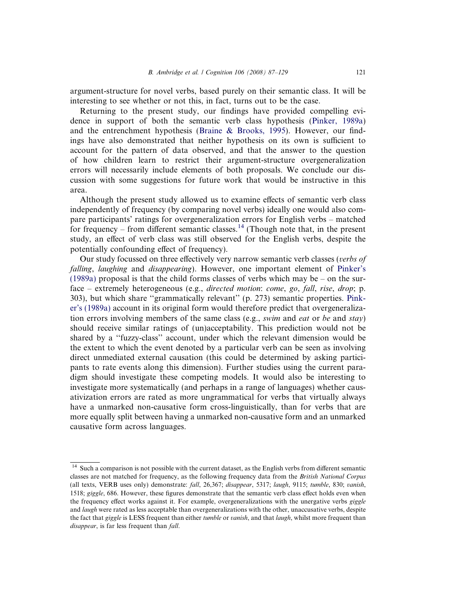argument-structure for novel verbs, based purely on their semantic class. It will be interesting to see whether or not this, in fact, turns out to be the case.

Returning to the present study, our findings have provided compelling evidence in support of both the semantic verb class hypothesis ([Pinker, 1989a](#page-41-0)) and the entrenchment hypothesis (Braine  $\&$  Brooks, 1995). However, our findings have also demonstrated that neither hypothesis on its own is sufficient to account for the pattern of data observed, and that the answer to the question of how children learn to restrict their argument-structure overgeneralization errors will necessarily include elements of both proposals. We conclude our discussion with some suggestions for future work that would be instructive in this area.

Although the present study allowed us to examine effects of semantic verb class independently of frequency (by comparing novel verbs) ideally one would also compare participants' ratings for overgeneralization errors for English verbs – matched for frequency – from different semantic classes.<sup>14</sup> (Though note that, in the present study, an effect of verb class was still observed for the English verbs, despite the potentially confounding effect of frequency).

Our study focussed on three effectively very narrow semantic verb classes (verbs of falling, laughing and disappearing). However, one important element of [Pinker's](#page-41-0) [\(1989a\)](#page-41-0) proposal is that the child forms classes of verbs which may be – on the surface – extremely heterogeneous (e.g., directed motion: come, go, fall, rise, drop; p. 303), but which share ''grammatically relevant'' (p. 273) semantic properties. [Pink](#page-41-0)[er's \(1989a\)](#page-41-0) account in its original form would therefore predict that overgeneralization errors involving members of the same class (e.g., *swim* and *eat* or be and *stay*) should receive similar ratings of (un)acceptability. This prediction would not be shared by a ''fuzzy-class'' account, under which the relevant dimension would be the extent to which the event denoted by a particular verb can be seen as involving direct unmediated external causation (this could be determined by asking participants to rate events along this dimension). Further studies using the current paradigm should investigate these competing models. It would also be interesting to investigate more systematically (and perhaps in a range of languages) whether causativization errors are rated as more ungrammatical for verbs that virtually always have a unmarked non-causative form cross-linguistically, than for verbs that are more equally split between having a unmarked non-causative form and an unmarked causative form across languages.

<sup>&</sup>lt;sup>14</sup> Such a comparison is not possible with the current dataset, as the English verbs from different semantic classes are not matched for frequency, as the following frequency data from the British National Corpus (all texts, VERB uses only) demonstrate: fall, 26,367; disappear, 5317; laugh, 9115; tumble, 830; vanish, 1518; giggle, 686. However, these figures demonstrate that the semantic verb class effect holds even when the frequency effect works against it. For example, overgeneralizations with the unergative verbs *giggle* and *laugh* were rated as less acceptable than overgeneralizations with the other, unaccusative verbs, despite the fact that giggle is LESS frequent than either tumble or vanish, and that laugh, whilst more frequent than disappear, is far less frequent than *fall*.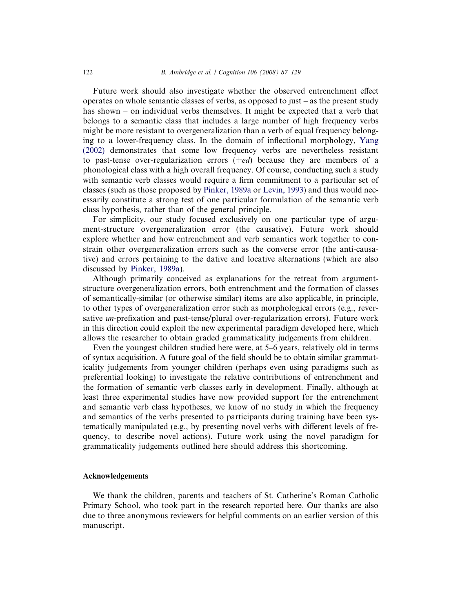Future work should also investigate whether the observed entrenchment effect operates on whole semantic classes of verbs, as opposed to just – as the present study has shown – on individual verbs themselves. It might be expected that a verb that belongs to a semantic class that includes a large number of high frequency verbs might be more resistant to overgeneralization than a verb of equal frequency belonging to a lower-frequency class. In the domain of inflectional morphology, [Yang](#page-42-0) [\(2002\)](#page-42-0) demonstrates that some low frequency verbs are nevertheless resistant to past-tense over-regularization errors  $(+ed)$  because they are members of a phonological class with a high overall frequency. Of course, conducting such a study with semantic verb classes would require a firm commitment to a particular set of classes (such as those proposed by [Pinker, 1989a](#page-41-0) or [Levin, 1993](#page-41-0)) and thus would necessarily constitute a strong test of one particular formulation of the semantic verb class hypothesis, rather than of the general principle.

For simplicity, our study focused exclusively on one particular type of argument-structure overgeneralization error (the causative). Future work should explore whether and how entrenchment and verb semantics work together to constrain other overgeneralization errors such as the converse error (the anti-causative) and errors pertaining to the dative and locative alternations (which are also discussed by [Pinker, 1989a](#page-41-0)).

Although primarily conceived as explanations for the retreat from argumentstructure overgeneralization errors, both entrenchment and the formation of classes of semantically-similar (or otherwise similar) items are also applicable, in principle, to other types of overgeneralization error such as morphological errors (e.g., reversative un-prefixation and past-tense/plural over-regularization errors). Future work in this direction could exploit the new experimental paradigm developed here, which allows the researcher to obtain graded grammaticality judgements from children.

Even the youngest children studied here were, at 5–6 years, relatively old in terms of syntax acquisition. A future goal of the field should be to obtain similar grammaticality judgements from younger children (perhaps even using paradigms such as preferential looking) to investigate the relative contributions of entrenchment and the formation of semantic verb classes early in development. Finally, although at least three experimental studies have now provided support for the entrenchment and semantic verb class hypotheses, we know of no study in which the frequency and semantics of the verbs presented to participants during training have been systematically manipulated (e.g., by presenting novel verbs with different levels of frequency, to describe novel actions). Future work using the novel paradigm for grammaticality judgements outlined here should address this shortcoming.

## Acknowledgements

We thank the children, parents and teachers of St. Catherine's Roman Catholic Primary School, who took part in the research reported here. Our thanks are also due to three anonymous reviewers for helpful comments on an earlier version of this manuscript.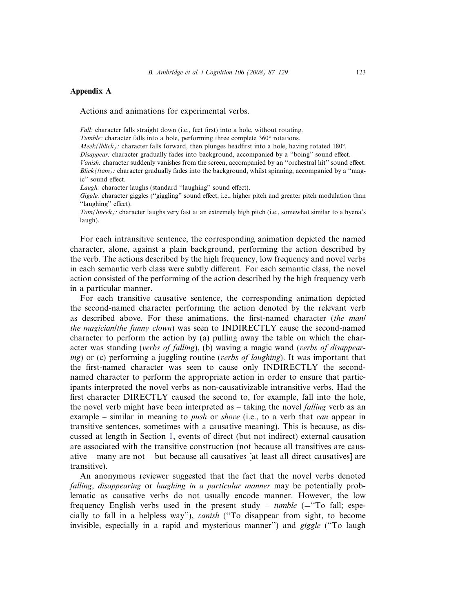## Appendix A

Actions and animations for experimental verbs.

Fall: character falls straight down (i.e., feet first) into a hole, without rotating.

Tumble: character falls into a hole, performing three complete  $360^\circ$  rotations.

*Meek(/blick):* character falls forward, then plunges headfirst into a hole, having rotated 180 $^{\circ}$ .

Disappear: character gradually fades into background, accompanied by a ''boing'' sound effect.

Vanish: character suddenly vanishes from the screen, accompanied by an "orchestral hit" sound effect.  $Blick($ /tam): character gradually fades into the background, whilst spinning, accompanied by a "magic'' sound effect.

Laugh: character laughs (standard ''laughing'' sound effect).

Giggle: character giggles ("giggling" sound effect, i.e., higher pitch and greater pitch modulation than "laughing" effect).

Tam(/meek): character laughs very fast at an extremely high pitch (i.e., somewhat similar to a hyena's laugh).

For each intransitive sentence, the corresponding animation depicted the named character, alone, against a plain background, performing the action described by the verb. The actions described by the high frequency, low frequency and novel verbs in each semantic verb class were subtly different. For each semantic class, the novel action consisted of the performing of the action described by the high frequency verb in a particular manner.

For each transitive causative sentence, the corresponding animation depicted the second-named character performing the action denoted by the relevant verb as described above. For these animations, the first-named character (the man/ the magician/the funny clown) was seen to INDIRECTLY cause the second-named character to perform the action by (a) pulling away the table on which the character was standing (verbs of falling), (b) waving a magic wand (verbs of disappearing) or (c) performing a juggling routine (verbs of laughing). It was important that the first-named character was seen to cause only INDIRECTLY the secondnamed character to perform the appropriate action in order to ensure that participants interpreted the novel verbs as non-causativizable intransitive verbs. Had the first character DIRECTLY caused the second to, for example, fall into the hole, the novel verb might have been interpreted as – taking the novel *falling* verb as an example – similar in meaning to *push* or *shove* (i.e., to a verb that *can* appear in transitive sentences, sometimes with a causative meaning). This is because, as discussed at length in Section [1,](#page-1-0) events of direct (but not indirect) external causation are associated with the transitive construction (not because all transitives are causative – many are not – but because all causatives [at least all direct causatives] are transitive).

An anonymous reviewer suggested that the fact that the novel verbs denoted falling, disappearing or laughing in a particular manner may be potentially problematic as causative verbs do not usually encode manner. However, the low frequency English verbs used in the present study – tumble  $(=$  To fall; especially to fall in a helpless way''), vanish (''To disappear from sight, to become invisible, especially in a rapid and mysterious manner'') and *giggle* ("To laugh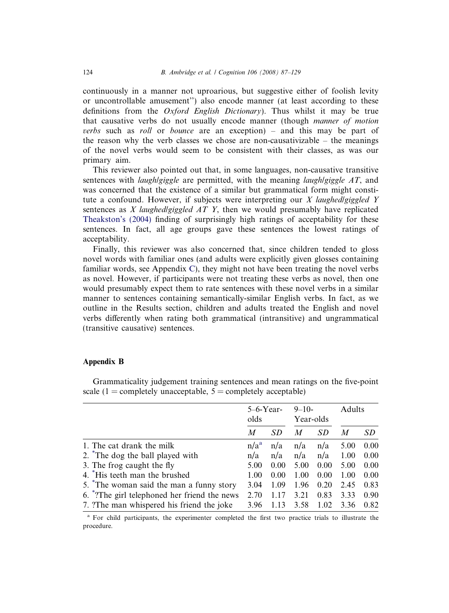<span id="page-37-0"></span>continuously in a manner not uproarious, but suggestive either of foolish levity or uncontrollable amusement'') also encode manner (at least according to these definitions from the *Oxford English Dictionary*). Thus whilst it may be true that causative verbs do not usually encode manner (though manner of motion verbs such as roll or bounce are an exception) – and this may be part of the reason why the verb classes we chose are non-causativizable  $-$  the meanings of the novel verbs would seem to be consistent with their classes, as was our primary aim.

This reviewer also pointed out that, in some languages, non-causative transitive sentences with *laugh/giggle* are permitted, with the meaning *laugh/giggle AT*, and was concerned that the existence of a similar but grammatical form might constitute a confound. However, if subjects were interpreting our X laughed/giggled Y sentences as  $X$  laughed/giggled  $AT$   $Y$ , then we would presumably have replicated [Theakston's \(2004\)](#page-42-0) finding of surprisingly high ratings of acceptability for these sentences. In fact, all age groups gave these sentences the lowest ratings of acceptability.

Finally, this reviewer was also concerned that, since children tended to gloss novel words with familiar ones (and adults were explicitly given glosses containing familiar words, see Appendix C), they might not have been treating the novel verbs as novel. However, if participants were not treating these verbs as novel, then one would presumably expect them to rate sentences with these novel verbs in a similar manner to sentences containing semantically-similar English verbs. In fact, as we outline in the Results section, children and adults treated the English and novel verbs differently when rating both grammatical (intransitive) and ungrammatical (transitive causative) sentences.

## Appendix B

|                                                          | $5-6$ -Year-<br>olds |      | $9 - 10$<br>Year-olds |      | Adults |      |
|----------------------------------------------------------|----------------------|------|-----------------------|------|--------|------|
|                                                          | M                    | SD   | M                     | SD   | M      | SD.  |
| 1. The cat drank the milk                                | n/a <sup>a</sup>     | n/a  | n/a                   | n/a  | 5.00   | 0.00 |
| 2. The dog the ball played with                          | n/a                  | n/a  | n/a                   | n/a  | 1.00   | 0.00 |
| 3. The frog caught the fly                               | 5.00                 | 0.00 | 5.00                  | 0.00 | 5.00   | 0.00 |
| 4. His teeth man the brushed                             | 1.00                 | 0.00 | 1.00                  | 0.00 | 1.00   | 0.00 |
| 5. The woman said the man a funny story                  | 3.04                 | 1.09 | 1.96                  | 0.20 | 2.45   | 0.83 |
| 6. <sup>*</sup> ?The girl telephoned her friend the news | 2.70                 | 1.17 | 3.21                  | 0.83 | 3.33   | 0.90 |
| 7. The man whispered his friend the joke                 | 3.96                 | 1.13 | 3.58                  | 1.02 | 3.36   | 0.82 |

Grammaticality judgement training sentences and mean ratings on the five-point scale  $(1 = \text{completely unacceptable}, 5 = \text{completely acceptable})$ 

<sup>a</sup> For child participants, the experimenter completed the first two practice trials to illustrate the procedure.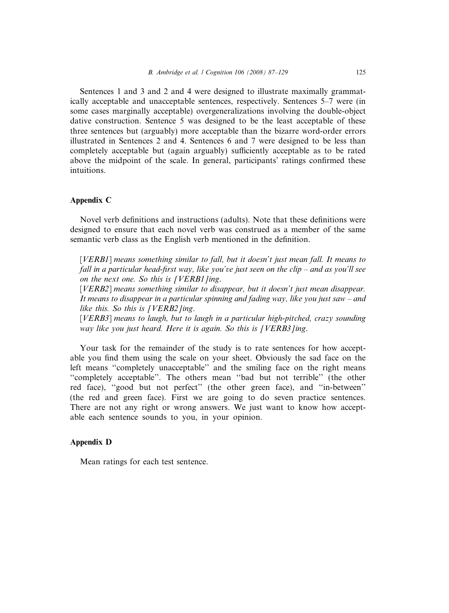Sentences 1 and 3 and 2 and 4 were designed to illustrate maximally grammatically acceptable and unacceptable sentences, respectively. Sentences 5–7 were (in some cases marginally acceptable) overgeneralizations involving the double-object dative construction. Sentence 5 was designed to be the least acceptable of these three sentences but (arguably) more acceptable than the bizarre word-order errors illustrated in Sentences 2 and 4. Sentences 6 and 7 were designed to be less than completely acceptable but (again arguably) sufficiently acceptable as to be rated above the midpoint of the scale. In general, participants' ratings confirmed these intuitions.

## Appendix C

Novel verb definitions and instructions (adults). Note that these definitions were designed to ensure that each novel verb was construed as a member of the same semantic verb class as the English verb mentioned in the definition.

[VERB1] means something similar to fall, but it doesn't just mean fall. It means to fall in a particular head-first way, like you've just seen on the clip – and as you'll see on the next one. So this is [VERB1]ing.

[VERB2] means something similar to disappear, but it doesn't just mean disappear. It means to disappear in a particular spinning and fading way, like you just saw – and like this. So this is [VERB2] ing.

[VERB3] means to laugh, but to laugh in a particular high-pitched, crazy sounding way like you just heard. Here it is again. So this is [VERB3] ing.

Your task for the remainder of the study is to rate sentences for how acceptable you find them using the scale on your sheet. Obviously the sad face on the left means ''completely unacceptable'' and the smiling face on the right means "completely acceptable". The others mean "bad but not terrible" (the other red face), ''good but not perfect'' (the other green face), and ''in-between'' (the red and green face). First we are going to do seven practice sentences. There are not any right or wrong answers. We just want to know how acceptable each sentence sounds to you, in your opinion.

## Appendix D

Mean ratings for each test sentence.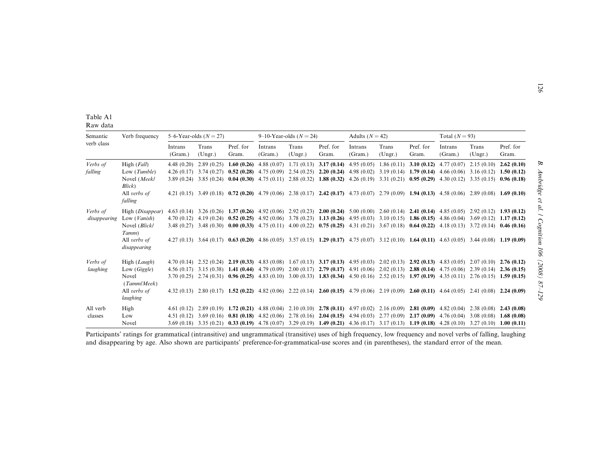<span id="page-39-0"></span>Table A1 Raw data

| Semantic<br>verb class   | Verb frequency                                                                                      | 5–6-Year-olds $(N = 27)$ |                               |                    | 9–10-Year-olds $(N = 24)$ |                  |                                                                                                                                                                                                                                                                                                                                                                                                                                                                                                                                                                                                          | Adults $(N = 42)$  |                               |                    | Total $(N = 93)$   |                  |                    |
|--------------------------|-----------------------------------------------------------------------------------------------------|--------------------------|-------------------------------|--------------------|---------------------------|------------------|----------------------------------------------------------------------------------------------------------------------------------------------------------------------------------------------------------------------------------------------------------------------------------------------------------------------------------------------------------------------------------------------------------------------------------------------------------------------------------------------------------------------------------------------------------------------------------------------------------|--------------------|-------------------------------|--------------------|--------------------|------------------|--------------------|
|                          |                                                                                                     | Intrans<br>(Gram.)       | Trans<br>(U <sub>ngr.</sub> ) | Pref. for<br>Gram. | Intrans<br>(Gram.)        | Trans<br>(Ungr.) | Pref. for<br>Gram.                                                                                                                                                                                                                                                                                                                                                                                                                                                                                                                                                                                       | Intrans<br>(Gram.) | Trans<br>(U <sub>ngr.</sub> ) | Pref. for<br>Gram. | Intrans<br>(Gram.) | Trans<br>(Ungr.) | Pref. for<br>Gram. |
| Verbs of<br>falling      | High $(Fall)$<br>Low (Tumble)<br>Novel (Meekl<br>$Blick$ )<br>All verbs of<br>falling               |                          |                               |                    |                           |                  | 4.48 (0.20) 2.89 (0.25) 1.60 (0.26) 4.88 (0.07) 1.71 (0.13) 3.17 (0.14) 4.95 (0.05) 1.86 (0.11) 3.10 (0.12) 4.77 (0.07) 2.15 (0.10) 2.62 (0.10)<br>4.26 (0.17) 3.74 (0.27) 0.52 (0.28) 4.75 (0.09) 2.54 (0.25) 2.20 (0.24) 4.98 (0.02) 3.19 (0.14) 1.79 (0.14) 4.66 (0.06) 3.16 (0.12) 1.50 (0.12)<br>3.89 (0.24) 3.85 (0.24) 0.04 (0.30) 4.75 (0.11) 2.88 (0.32) 1.88 (0.32) 4.26 (0.19) 3.31 (0.21) 0.95 (0.29) 4.30 (0.12) 3.35 (0.15) 0.96 (0.18)<br>4.21 (0.15) 3.49 (0.18) 0.72 (0.20) 4.79 (0.06) 2.38 (0.17) 2.42 (0.17) 4.73 (0.07) 2.79 (0.09) 1.94 (0.13) 4.58 (0.06) 2.89 (0.08) 1.69 (0.10) |                    |                               |                    |                    |                  |                    |
| Verbs of<br>disappearing | High (Disappear)<br>Low ( <i>Vanish</i> )<br>Novel (Blick)<br>Tamm)<br>All verbs of<br>disappearing |                          |                               |                    |                           |                  | 4.63 (0.14) 3.26 (0.26) 1.37 (0.26) 4.92 (0.06) 2.92 (0.23) 2.00 (0.24) 5.00 (0.00) 2.60 (0.14) 2.41 (0.14) 4.85 (0.05) 2.92 (0.12) 1.93 (0.12)<br>4.70 (0.12) 4.19 (0.24) 0.52 (0.25) 4.92 (0.06) 3.78 (0.23) 1.13 (0.26) 4.95 (0.03) 3.10 (0.15) 1.86 (0.15) 4.86 (0.04) 3.69 (0.12) 1.17 (0.12)<br>3.48 (0.27) 3.48 (0.30) 0.00 (0.33) 4.75 (0.11) 4.00 (0.22) 0.75 (0.25) 4.31 (0.21) 3.67 (0.18) 0.64 (0.22) 4.18 (0.13) 3.72 (0.14) 0.46 (0.16)<br>4.27 (0.13) 3.64 (0.17) 0.63 (0.20) 4.86 (0.05) 3.57 (0.15) 1.29 (0.17) 4.75 (0.07) 3.12 (0.10) 1.64 (0.11) 4.63 (0.05) 3.44 (0.08) 1.19 (0.09) |                    |                               |                    |                    |                  |                    |
| Verbs of<br>laughing     | High (Laugh)<br>Low (Giggle)<br>Novel<br>(Tamm/Meek)<br>All verbs of<br>laughing                    |                          |                               |                    |                           |                  | 4.70 (0.14) 2.52 (0.24) 2.19 (0.33) 4.83 (0.08) 1.67 (0.13) 3.17 (0.13) 4.95 (0.03) 2.02 (0.13) 2.92 (0.13) 4.83 (0.05) 2.07 (0.10) 2.76 (0.12)<br>4.56 (0.17) 3.15 (0.38) 1.41 (0.44) 4.79 (0.09) 2.00 (0.17) 2.79 (0.17) 4.91 (0.06) 2.02 (0.13) 2.88 (0.14) 4.75 (0.06) 2.39 (0.14) 2.36 (0.15)<br>3.70 (0.25) 2.74 (0.31) 0.96 (0.25) 4.83 (0.10) 3.00 (0.33) 1.83 (0.34) 4.50 (0.16) 2.52 (0.15) 1.97 (0.19) 4.35 (0.11) 2.76 (0.15) 1.59 (0.15)<br>4.32 (0.13) 2.80 (0.17) 1.52 (0.22) 4.82 (0.06) 2.22 (0.14) 2.60 (0.15) 4.79 (0.06) 2.19 (0.09) 2.60 (0.11) 4.64 (0.05) 2.41 (0.08) 2.24 (0.09) |                    |                               |                    |                    |                  |                    |
| All verb<br>classes      | High<br>Low<br>Novel                                                                                |                          |                               |                    |                           |                  | 4.61 (0.12) 2.89 (0.19) 1.72 (0.21) 4.88 (0.04) 2.10 (0.10) 2.78 (0.11) 4.97 (0.02) 2.16 (0.09) 2.81 (0.09) 4.82 (0.04) 2.38 (0.08) 2.43 (0.08)<br>4.51 (0.12) 3.69 (0.16) <b>0.81 (0.18)</b> 4.82 (0.06) 2.78 (0.16) <b>2.04 (0.15)</b> 4.94 (0.03) 2.77 (0.09) <b>2.17 (0.09)</b> 4.76 (0.04)<br>3.69 (0.18) 3.35 (0.21) 0.33 (0.19) 4.78 (0.07) 3.29 (0.19) 1.49 (0.21) 4.36 (0.17) 3.17 (0.13) 1.19 (0.18) 4.28 (0.10) 3.27 (0.10) 1.00 (0.11)                                                                                                                                                       |                    |                               |                    |                    | 3.08(0.08)       | 1.68(0.08)         |

Participants' ratings for grammatical (intransitive) and ungrammatical (transitive) uses of high frequency, low frequency and novel verbs of falling, laughing and disappearing by age. Also shown are participants' preference-for-grammatical-use scores and (in parentheses), the standard error of the mean.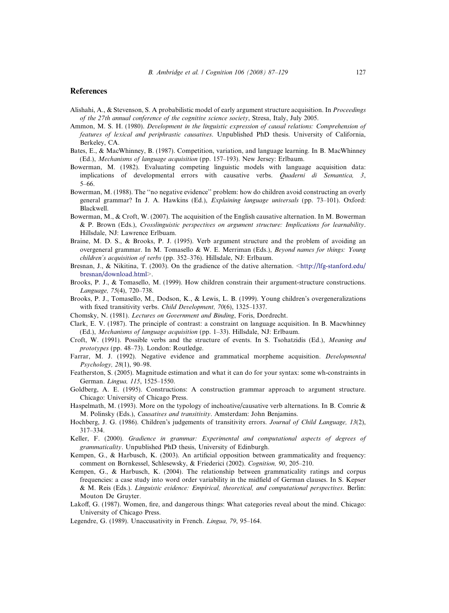#### <span id="page-40-0"></span>References

- Alishahi, A., & Stevenson, S. A probabilistic model of early argument structure acquisition. In Proceedings of the 27th annual conference of the cognitive science society, Stresa, Italy, July 2005.
- Ammon, M. S. H. (1980). Development in the linguistic expression of causal relations: Comprehension of features of lexical and periphrastic causatives. Unpublished PhD thesis. University of California, Berkeley, CA.
- Bates, E., & MacWhinney, B. (1987). Competition, variation, and language learning. In B. MacWhinney (Ed.), Mechanisms of language acquisition (pp. 157–193). New Jersey: Erlbaum.
- Bowerman, M. (1982). Evaluating competing linguistic models with language acquisition data: implications of developmental errors with causative verbs. Quaderni di Semantica, 3, 5–66.
- Bowerman, M. (1988). The ''no negative evidence'' problem: how do children avoid constructing an overly general grammar? In J. A. Hawkins (Ed.), Explaining language universals (pp. 73–101). Oxford: Blackwell.
- Bowerman, M., & Croft, W. (2007). The acquisition of the English causative alternation. In M. Bowerman & P. Brown (Eds.), Crosslinguistic perspectives on argument structure: Implications for learnability. Hillsdale, NJ: Lawrence Erlbuam.
- Braine, M. D. S., & Brooks, P. J. (1995). Verb argument structure and the problem of avoiding an overgeneral grammar. In M. Tomasello & W. E. Merriman (Eds.), Beyond names for things: Young children's acquisition of verbs (pp. 352–376). Hillsdale, NJ: Erlbaum.
- Bresnan, J., & Nikitina, T. (2003). On the gradience of the dative alternation. [<http://lfg-stanford.edu/](http://lfg-stanford.edu/bresnan/download.html) [bresnan/download.html](http://lfg-stanford.edu/bresnan/download.html)>.
- Brooks, P. J., & Tomasello, M. (1999). How children constrain their argument-structure constructions. Language, 75(4), 720–738.
- Brooks, P. J., Tomasello, M., Dodson, K., & Lewis, L. B. (1999). Young children's overgeneralizations with fixed transitivity verbs. Child Development, 70(6), 1325–1337.
- Chomsky, N. (1981). Lectures on Government and Binding, Foris, Dordrecht.
- Clark, E. V. (1987). The principle of contrast: a constraint on language acquisition. In B. Macwhinney (Ed.), Mechanisms of language acquisition (pp. 1–33). Hillsdale, NJ: Erlbaum.
- Croft, W. (1991). Possible verbs and the structure of events. In S. Tsohatzidis (Ed.), Meaning and prototypes (pp. 48–73). London: Routledge.
- Farrar, M. J. (1992). Negative evidence and grammatical morpheme acquisition. Developmental Psychology, 28(1), 90–98.
- Featherston, S. (2005). Magnitude estimation and what it can do for your syntax: some wh-constraints in German. Lingua, 115, 1525–1550.
- Goldberg, A. E. (1995). Constructions: A construction grammar approach to argument structure. Chicago: University of Chicago Press.
- Haspelmath, M. (1993). More on the typology of inchoative/causative verb alternations. In B. Comrie  $\&$ M. Polinsky (Eds.), Causatives and transitivity. Amsterdam: John Benjamins.
- Hochberg, J. G. (1986). Children's judgements of transitivity errors. Journal of Child Language, 13(2), 317–334.
- Keller, F. (2000). Gradience in grammar: Experimental and computational aspects of degrees of grammaticality. Unpublished PhD thesis, University of Edinburgh.
- Kempen, G., & Harbusch, K. (2003). An artificial opposition between grammaticality and frequency: comment on Bornkessel, Schlesewsky, & Friederici (2002). Cognition, 90, 205–210.
- Kempen, G., & Harbusch, K. (2004). The relationship between grammaticality ratings and corpus frequencies: a case study into word order variability in the midfield of German clauses. In S. Kepser & M. Reis (Eds.). Linguistic evidence: Empirical, theoretical, and computational perspectives. Berlin: Mouton De Gruyter.
- Lakoff, G. (1987). Women, fire, and dangerous things: What categories reveal about the mind. Chicago: University of Chicago Press.

Legendre, G. (1989). Unaccusativity in French. Lingua, 79, 95–164.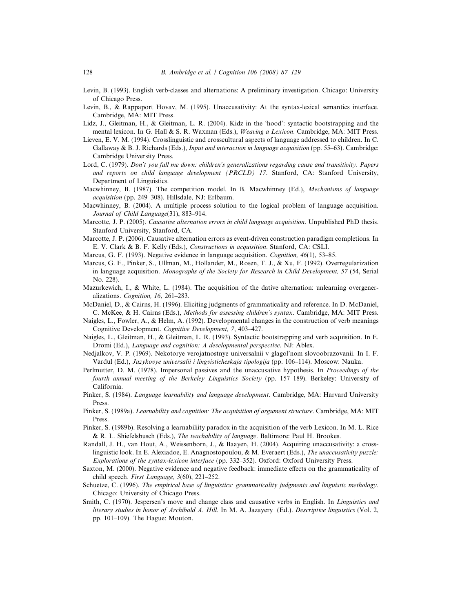- <span id="page-41-0"></span>Levin, B. (1993). English verb-classes and alternations: A preliminary investigation. Chicago: University of Chicago Press.
- Levin, B., & Rappaport Hovav, M. (1995). Unaccusativity: At the syntax-lexical semantics interface. Cambridge, MA: MIT Press.
- Lidz, J., Gleitman, H., & Gleitman, L. R. (2004). Kidz in the 'hood': syntactic bootstrapping and the mental lexicon. In G. Hall & S. R. Waxman (Eds.), Weaving a Lexicon. Cambridge, MA: MIT Press.
- Lieven, E. V. M. (1994). Crosslinguistic and crosscultural aspects of language addressed to children. In C. Gallaway & B. J. Richards (Eds.), Input and interaction in language acquisition (pp. 55–63). Cambridge: Cambridge University Press.
- Lord, C. (1979). Don't you fall me down: children's generalizations regarding cause and transitivity. Papers and reports on child language development (PRCLD) 17. Stanford, CA: Stanford University, Department of Linguistics.
- Macwhinney, B. (1987). The competition model. In B. Macwhinney (Ed.), Mechanisms of language acquisition (pp. 249–308). Hillsdale, NJ: Erlbaum.
- Macwhinney, B. (2004). A multiple process solution to the logical problem of language acquisition. Journal of Child Language(31), 883–914.
- Marcotte, J. P. (2005). Causative alternation errors in child language acquisition. Unpublished PhD thesis. Stanford University, Stanford, CA.
- Marcotte, J. P. (2006). Causative alternation errors as event-driven construction paradigm completions. In E. V. Clark & B. F. Kelly (Eds.), Constructions in acquisition. Stanford, CA: CSLI.
- Marcus, G. F. (1993). Negative evidence in language acquisition. Cognition, 46(1), 53–85.
- Marcus, G. F., Pinker, S., Ullman, M., Hollander, M., Rosen, T. J., & Xu, F. (1992). Overregularization in language acquisition. Monographs of the Society for Research in Child Development, 57 (54, Serial No. 228).
- Mazurkewich, I., & White, L. (1984). The acquisition of the dative alternation: unlearning overgeneralizations. Cognition, 16, 261–283.
- McDaniel, D., & Cairns, H. (1996). Eliciting judgments of grammaticality and reference. In D. McDaniel, C. McKee, & H. Cairns (Eds.), Methods for assessing children's syntax. Cambridge, MA: MIT Press.
- Naigles, L., Fowler, A., & Helm, A. (1992). Developmental changes in the construction of verb meanings Cognitive Development. Cognitive Development, 7, 403–427.
- Naigles, L., Gleitman, H., & Gleitman, L. R. (1993). Syntactic bootstrapping and verb acquisition. In E. Dromi (Ed.), Language and cognition: A developmental perspective. NJ: Ablex.
- Nedjalkov, V. P. (1969). Nekotorye verojatnostnye universalnii v glagol'nom slovoobrazovanii. In I. F. Vardul (Ed.), Jazykovye universalii i lingvisticheskaja tipologija (pp. 106–114). Moscow: Nauka.
- Perlmutter, D. M. (1978). Impersonal passives and the unaccusative hypothesis. In *Proceedings of the* fourth annual meeting of the Berkeley Linguistics Society (pp. 157–189). Berkeley: University of California.
- Pinker, S. (1984). Language learnability and language development. Cambridge, MA: Harvard University Press.
- Pinker, S. (1989a). Learnability and cognition: The acquisition of argument structure. Cambridge, MA: MIT Press.
- Pinker, S. (1989b). Resolving a learnabiliity paradox in the acquisition of the verb Lexicon. In M. L. Rice & R. L. Shiefelsbusch (Eds.), The teachability of language. Baltimore: Paul H. Brookes.
- Randall, J. H., van Hout, A., Weissenborn, J., & Baayen, H. (2004). Acquiring unaccusativity: a crosslinguistic look. In E. Alexiadoe, E. Anagnostopoulou, & M. Everaert (Eds.), The unaccusativity puzzle: Explorations of the syntax-lexicon interface (pp. 332–352). Oxford: Oxford University Press.
- Saxton, M. (2000). Negative evidence and negative feedback: immediate effects on the grammaticality of child speech. First Language, 3(60), 221-252.
- Schuetze, C. (1996). The empirical base of linguistics: grammaticality judgments and linguistic methology. Chicago: University of Chicago Press.
- Smith, C. (1970). Jespersen's move and change class and causative verbs in English. In Linguistics and literary studies in honor of Archibald A. Hill. In M. A. Jazayery (Ed.). Descriptive linguistics (Vol. 2, pp. 101–109). The Hague: Mouton.